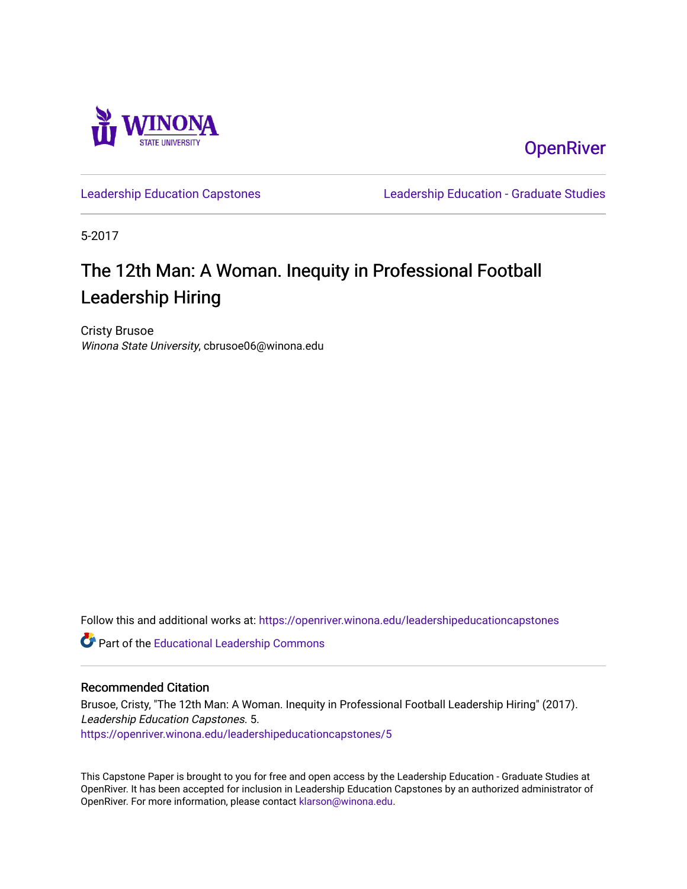

**OpenRiver** 

[Leadership Education Capstones](https://openriver.winona.edu/leadershipeducationcapstones) [Leadership Education - Graduate Studies](https://openriver.winona.edu/leadershipeducation) 

5-2017

# The 12th Man: A Woman. Inequity in Professional Football Leadership Hiring

Cristy Brusoe Winona State University, cbrusoe06@winona.edu

Follow this and additional works at: [https://openriver.winona.edu/leadershipeducationcapstones](https://openriver.winona.edu/leadershipeducationcapstones?utm_source=openriver.winona.edu%2Fleadershipeducationcapstones%2F5&utm_medium=PDF&utm_campaign=PDFCoverPages) 

Part of the [Educational Leadership Commons](http://network.bepress.com/hgg/discipline/1230?utm_source=openriver.winona.edu%2Fleadershipeducationcapstones%2F5&utm_medium=PDF&utm_campaign=PDFCoverPages) 

# Recommended Citation

Brusoe, Cristy, "The 12th Man: A Woman. Inequity in Professional Football Leadership Hiring" (2017). Leadership Education Capstones. 5. [https://openriver.winona.edu/leadershipeducationcapstones/5](https://openriver.winona.edu/leadershipeducationcapstones/5?utm_source=openriver.winona.edu%2Fleadershipeducationcapstones%2F5&utm_medium=PDF&utm_campaign=PDFCoverPages)

This Capstone Paper is brought to you for free and open access by the Leadership Education - Graduate Studies at OpenRiver. It has been accepted for inclusion in Leadership Education Capstones by an authorized administrator of OpenRiver. For more information, please contact [klarson@winona.edu](mailto:klarson@winona.edu).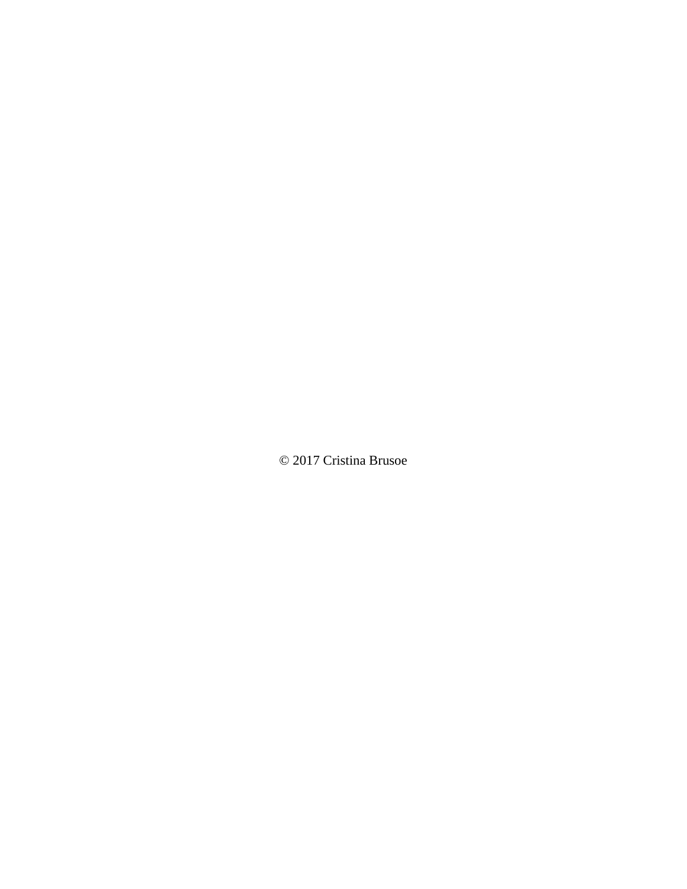© 2017 Cristina Brusoe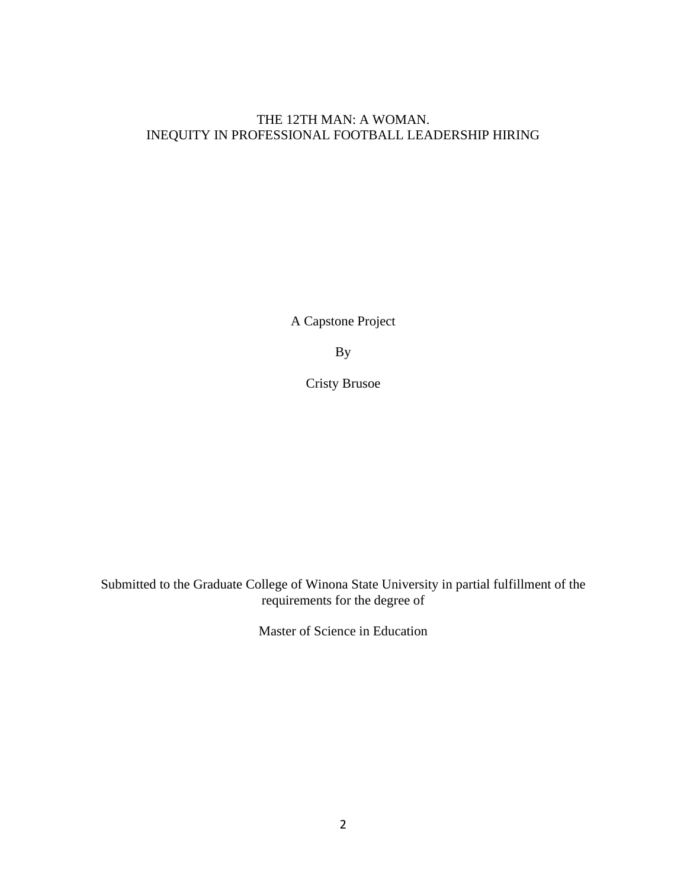# THE 12TH MAN: A WOMAN. INEQUITY IN PROFESSIONAL FOOTBALL LEADERSHIP HIRING

A Capstone Project

By

Cristy Brusoe

Submitted to the Graduate College of Winona State University in partial fulfillment of the requirements for the degree of

Master of Science in Education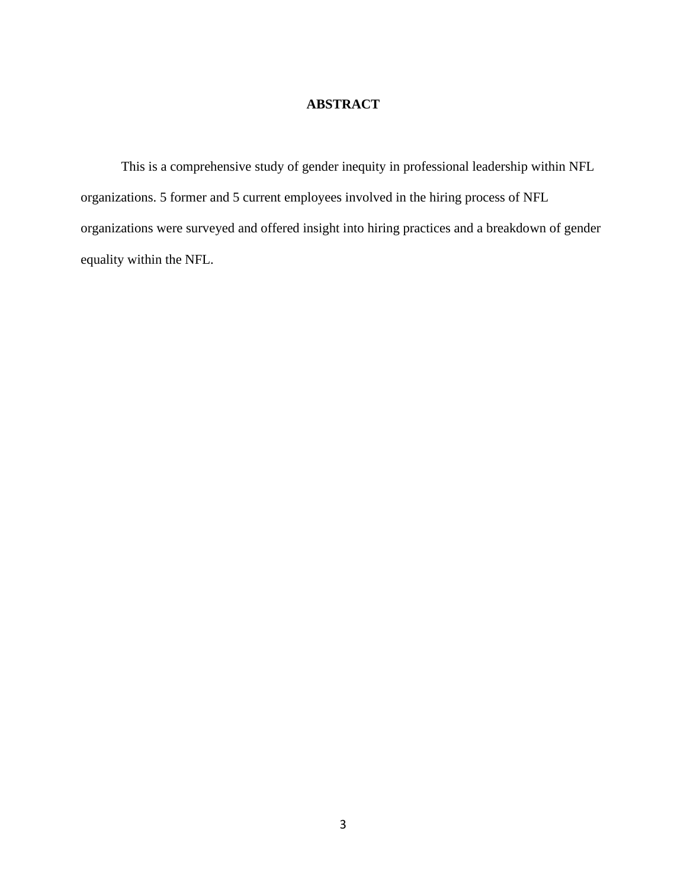# **ABSTRACT**

This is a comprehensive study of gender inequity in professional leadership within NFL organizations. 5 former and 5 current employees involved in the hiring process of NFL organizations were surveyed and offered insight into hiring practices and a breakdown of gender equality within the NFL.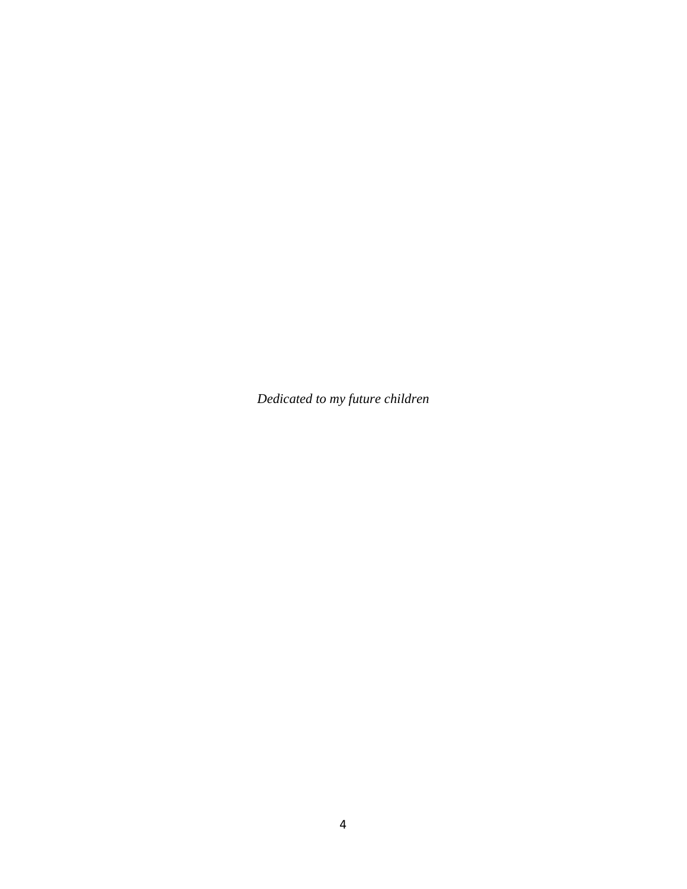*Dedicated to my future children*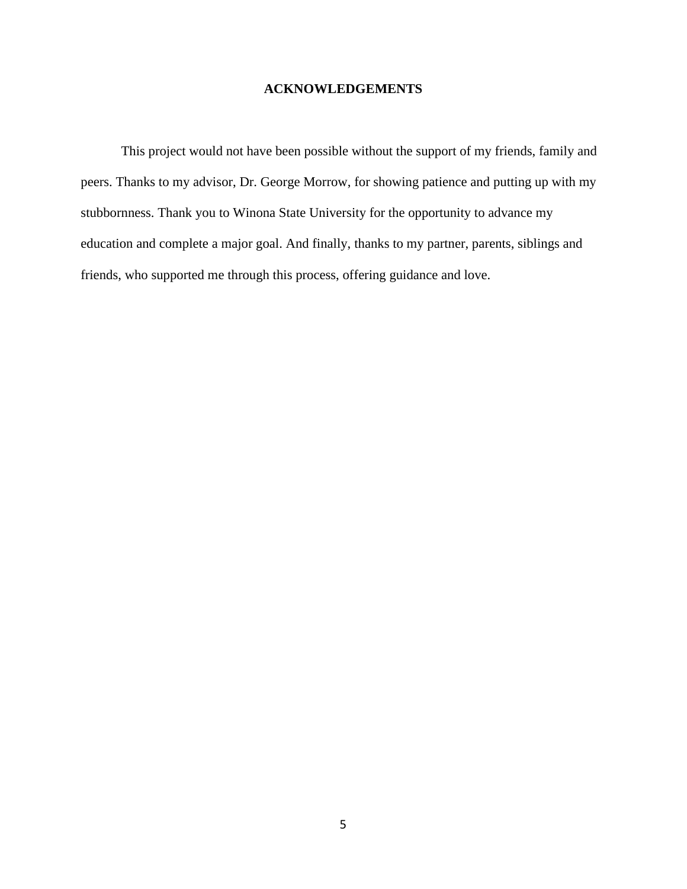# **ACKNOWLEDGEMENTS**

This project would not have been possible without the support of my friends, family and peers. Thanks to my advisor, Dr. George Morrow, for showing patience and putting up with my stubbornness. Thank you to Winona State University for the opportunity to advance my education and complete a major goal. And finally, thanks to my partner, parents, siblings and friends, who supported me through this process, offering guidance and love.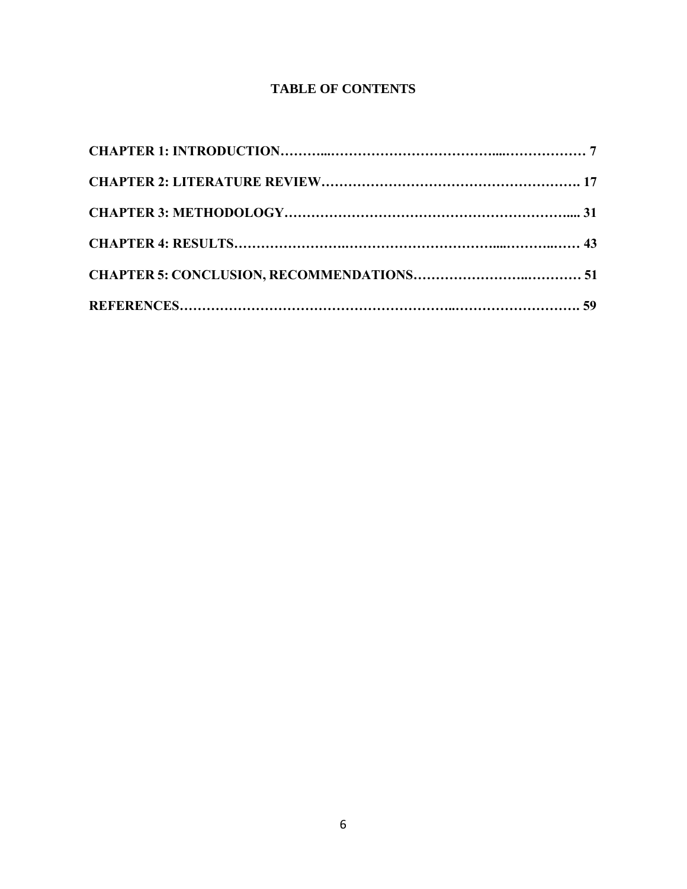# **TABLE OF CONTENTS**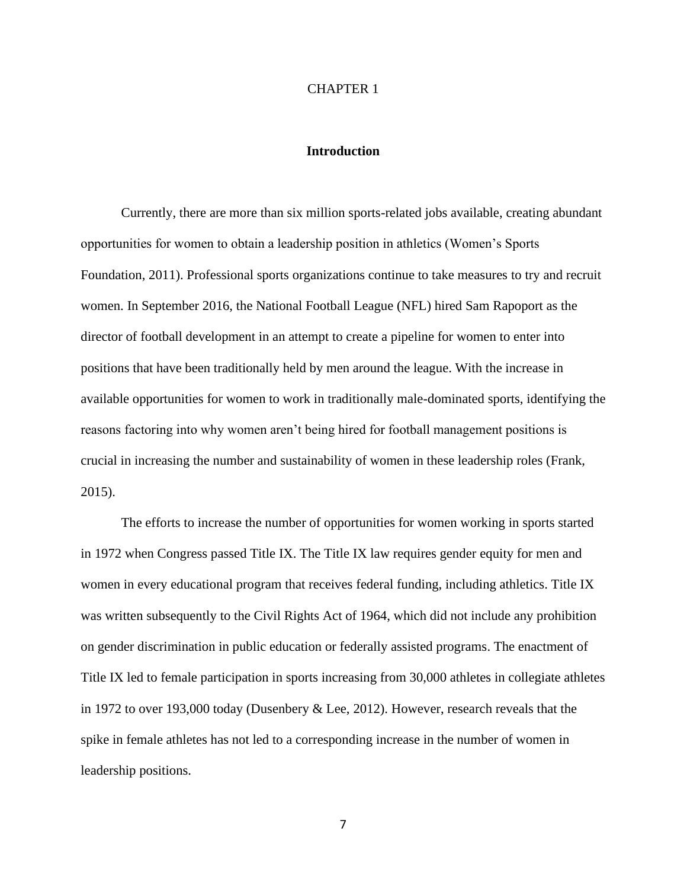#### CHAPTER 1

#### **Introduction**

Currently, there are more than six million sports-related jobs available, creating abundant opportunities for women to obtain a leadership position in athletics (Women's Sports Foundation, 2011). Professional sports organizations continue to take measures to try and recruit women. In September 2016, the National Football League (NFL) hired Sam Rapoport as the director of football development in an attempt to create a pipeline for women to enter into positions that have been traditionally held by men around the league. With the increase in available opportunities for women to work in traditionally male-dominated sports, identifying the reasons factoring into why women aren't being hired for football management positions is crucial in increasing the number and sustainability of women in these leadership roles (Frank, 2015).

The efforts to increase the number of opportunities for women working in sports started in 1972 when Congress passed Title IX. The Title IX law requires gender equity for men and women in every educational program that receives federal funding, including athletics. Title IX was written subsequently to the Civil Rights Act of 1964, which did not include any prohibition on gender discrimination in public education or federally assisted programs. The enactment of Title IX led to female participation in sports increasing from 30,000 athletes in collegiate athletes in 1972 to over 193,000 today (Dusenbery & Lee, 2012). However, research reveals that the spike in female athletes has not led to a corresponding increase in the number of women in leadership positions.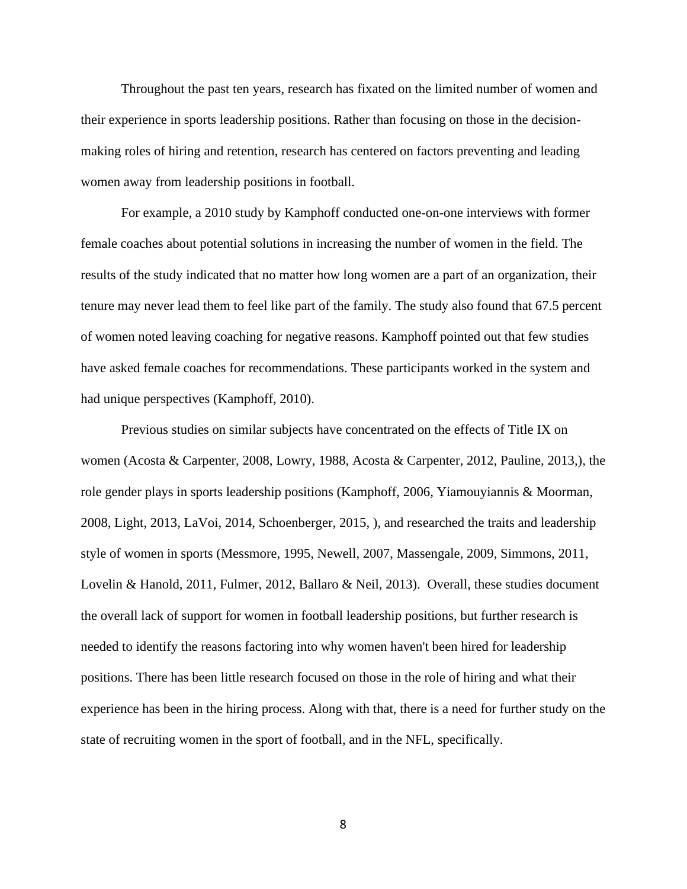Throughout the past ten years, research has fixated on the limited number of women and their experience in sports leadership positions. Rather than focusing on those in the decisionmaking roles of hiring and retention, research has centered on factors preventing and leading women away from leadership positions in football.

For example, a 2010 study by Kamphoff conducted one-on-one interviews with former female coaches about potential solutions in increasing the number of women in the field. The results of the study indicated that no matter how long women are a part of an organization, their tenure may never lead them to feel like part of the family. The study also found that 67.5 percent of women noted leaving coaching for negative reasons. Kamphoff pointed out that few studies have asked female coaches for recommendations. These participants worked in the system and had unique perspectives (Kamphoff, 2010).

Previous studies on similar subjects have concentrated on the effects of Title IX on women (Acosta & Carpenter, 2008, Lowry, 1988, Acosta & Carpenter, 2012, Pauline, 2013,), the role gender plays in sports leadership positions (Kamphoff, 2006, Yiamouyiannis & Moorman, 2008, Light, 2013, LaVoi, 2014, Schoenberger, 2015, ), and researched the traits and leadership style of women in sports (Messmore, 1995, Newell, 2007, Massengale, 2009, Simmons, 2011, Lovelin & Hanold, 2011, Fulmer, 2012, Ballaro & Neil, 2013). Overall, these studies document the overall lack of support for women in football leadership positions, but further research is needed to identify the reasons factoring into why women haven't been hired for leadership positions. There has been little research focused on those in the role of hiring and what their experience has been in the hiring process. Along with that, there is a need for further study on the state of recruiting women in the sport of football, and in the NFL, specifically.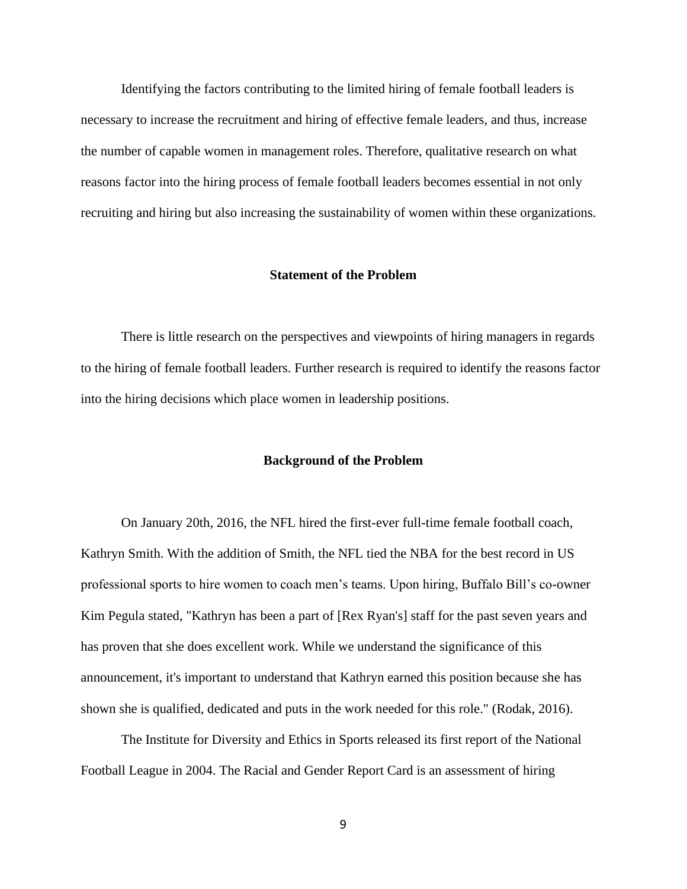Identifying the factors contributing to the limited hiring of female football leaders is necessary to increase the recruitment and hiring of effective female leaders, and thus, increase the number of capable women in management roles. Therefore, qualitative research on what reasons factor into the hiring process of female football leaders becomes essential in not only recruiting and hiring but also increasing the sustainability of women within these organizations.

# **Statement of the Problem**

There is little research on the perspectives and viewpoints of hiring managers in regards to the hiring of female football leaders. Further research is required to identify the reasons factor into the hiring decisions which place women in leadership positions.

#### **Background of the Problem**

On January 20th, 2016, the NFL hired the first-ever full-time female football coach, Kathryn Smith. With the addition of Smith, the NFL tied the NBA for the best record in US professional sports to hire women to coach men's teams. Upon hiring, Buffalo Bill's co-owner Kim Pegula stated, "Kathryn has been a part of [Rex Ryan's] staff for the past seven years and has proven that she does excellent work. While we understand the significance of this announcement, it's important to understand that Kathryn earned this position because she has shown she is qualified, dedicated and puts in the work needed for this role." (Rodak, 2016).

The Institute for Diversity and Ethics in Sports released its first report of the National Football League in 2004. The Racial and Gender Report Card is an assessment of hiring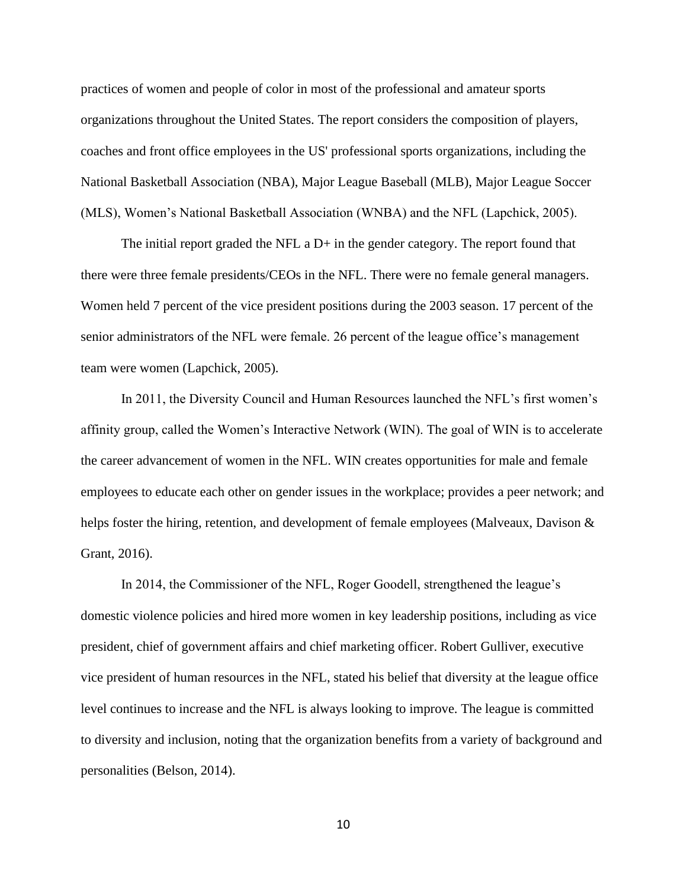practices of women and people of color in most of the professional and amateur sports organizations throughout the United States. The report considers the composition of players, coaches and front office employees in the US' professional sports organizations, including the National Basketball Association (NBA), Major League Baseball (MLB), Major League Soccer (MLS), Women's National Basketball Association (WNBA) and the NFL (Lapchick, 2005).

The initial report graded the NFL a D+ in the gender category. The report found that there were three female presidents/CEOs in the NFL. There were no female general managers. Women held 7 percent of the vice president positions during the 2003 season. 17 percent of the senior administrators of the NFL were female. 26 percent of the league office's management team were women (Lapchick, 2005).

In 2011, the Diversity Council and Human Resources launched the NFL's first women's affinity group, called the Women's Interactive Network (WIN). The goal of WIN is to accelerate the career advancement of women in the NFL. WIN creates opportunities for male and female employees to educate each other on gender issues in the workplace; provides a peer network; and helps foster the hiring, retention, and development of female employees (Malveaux, Davison & Grant, 2016).

In 2014, the Commissioner of the NFL, Roger Goodell, strengthened the league's domestic violence policies and hired more women in key leadership positions, including as vice president, chief of government affairs and chief marketing officer. Robert Gulliver, executive vice president of human resources in the NFL, stated his belief that diversity at the league office level continues to increase and the NFL is always looking to improve. The league is committed to diversity and inclusion, noting that the organization benefits from a variety of background and personalities (Belson, 2014).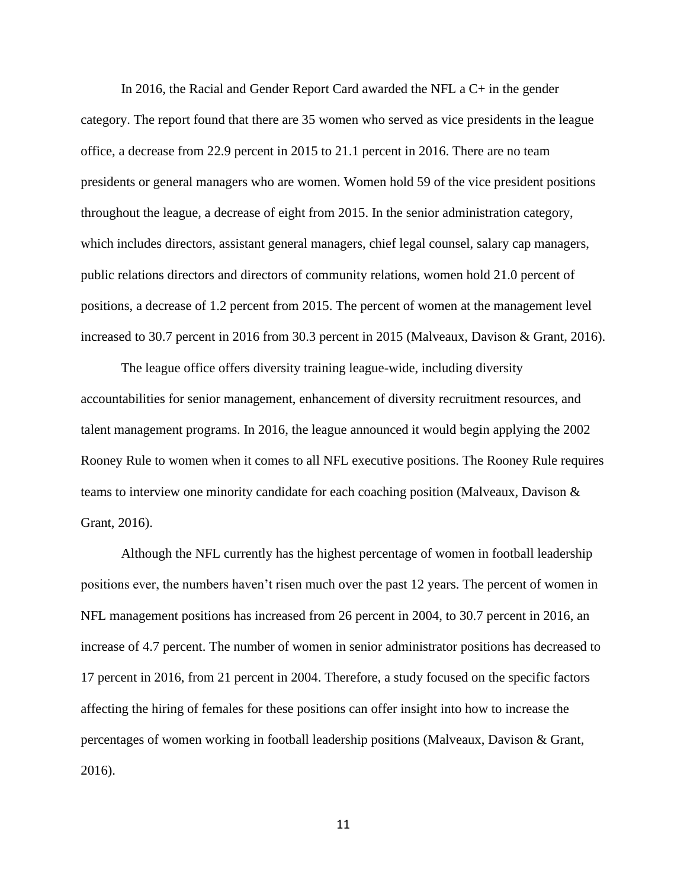In 2016, the Racial and Gender Report Card awarded the NFL a C+ in the gender category. The report found that there are 35 women who served as vice presidents in the league office, a decrease from 22.9 percent in 2015 to 21.1 percent in 2016. There are no team presidents or general managers who are women. Women hold 59 of the vice president positions throughout the league, a decrease of eight from 2015. In the senior administration category, which includes directors, assistant general managers, chief legal counsel, salary cap managers, public relations directors and directors of community relations, women hold 21.0 percent of positions, a decrease of 1.2 percent from 2015. The percent of women at the management level increased to 30.7 percent in 2016 from 30.3 percent in 2015 (Malveaux, Davison & Grant, 2016).

The league office offers diversity training league-wide, including diversity accountabilities for senior management, enhancement of diversity recruitment resources, and talent management programs. In 2016, the league announced it would begin applying the 2002 Rooney Rule to women when it comes to all NFL executive positions. The Rooney Rule requires teams to interview one minority candidate for each coaching position (Malveaux, Davison & Grant, 2016).

Although the NFL currently has the highest percentage of women in football leadership positions ever, the numbers haven't risen much over the past 12 years. The percent of women in NFL management positions has increased from 26 percent in 2004, to 30.7 percent in 2016, an increase of 4.7 percent. The number of women in senior administrator positions has decreased to 17 percent in 2016, from 21 percent in 2004. Therefore, a study focused on the specific factors affecting the hiring of females for these positions can offer insight into how to increase the percentages of women working in football leadership positions (Malveaux, Davison & Grant, 2016).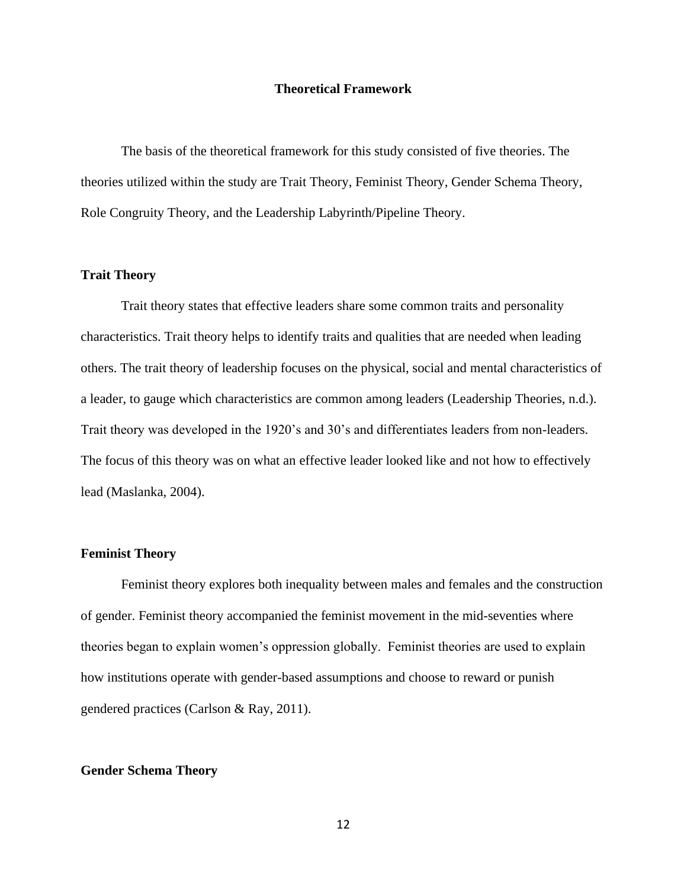# **Theoretical Framework**

The basis of the theoretical framework for this study consisted of five theories. The theories utilized within the study are Trait Theory, Feminist Theory, Gender Schema Theory, Role Congruity Theory, and the Leadership Labyrinth/Pipeline Theory.

# **Trait Theory**

Trait theory states that effective leaders share some common traits and personality characteristics. Trait theory helps to identify traits and qualities that are needed when leading others. The trait theory of leadership focuses on the physical, social and mental characteristics of a leader, to gauge which characteristics are common among leaders (Leadership Theories, n.d.). Trait theory was developed in the 1920's and 30's and differentiates leaders from non-leaders. The focus of this theory was on what an effective leader looked like and not how to effectively lead (Maslanka, 2004).

# **Feminist Theory**

Feminist theory explores both inequality between males and females and the construction of gender. Feminist theory accompanied the feminist movement in the mid-seventies where theories began to explain women's oppression globally. Feminist theories are used to explain how institutions operate with gender-based assumptions and choose to reward or punish gendered practices (Carlson & Ray, 2011).

# **Gender Schema Theory**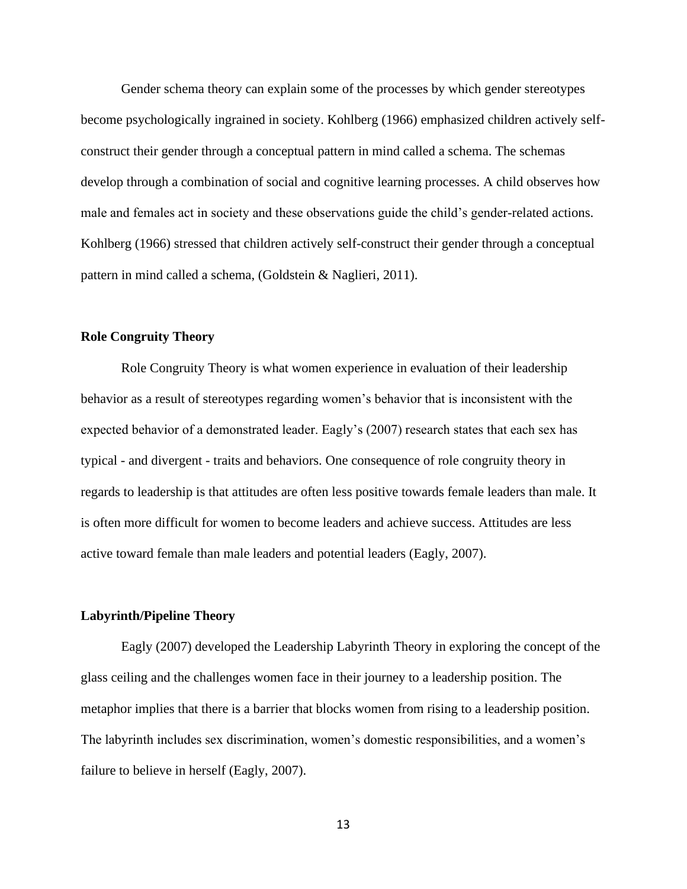Gender schema theory can explain some of the processes by which gender stereotypes become psychologically ingrained in society. Kohlberg (1966) emphasized children actively selfconstruct their gender through a conceptual pattern in mind called a schema. The schemas develop through a combination of social and cognitive learning processes. A child observes how male and females act in society and these observations guide the child's gender-related actions. Kohlberg (1966) stressed that children actively self-construct their gender through a conceptual pattern in mind called a schema, (Goldstein & Naglieri, 2011).

# **Role Congruity Theory**

Role Congruity Theory is what women experience in evaluation of their leadership behavior as a result of stereotypes regarding women's behavior that is inconsistent with the expected behavior of a demonstrated leader. Eagly's (2007) research states that each sex has typical - and divergent - traits and behaviors. One consequence of role congruity theory in regards to leadership is that attitudes are often less positive towards female leaders than male. It is often more difficult for women to become leaders and achieve success. Attitudes are less active toward female than male leaders and potential leaders (Eagly, 2007).

# **Labyrinth/Pipeline Theory**

Eagly (2007) developed the Leadership Labyrinth Theory in exploring the concept of the glass ceiling and the challenges women face in their journey to a leadership position. The metaphor implies that there is a barrier that blocks women from rising to a leadership position. The labyrinth includes sex discrimination, women's domestic responsibilities, and a women's failure to believe in herself (Eagly, 2007).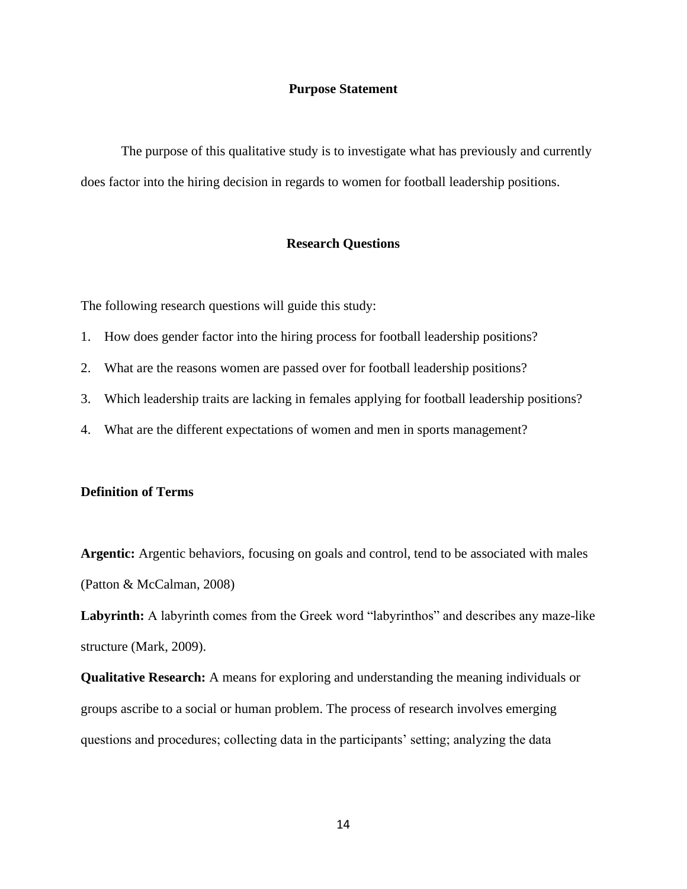# **Purpose Statement**

The purpose of this qualitative study is to investigate what has previously and currently does factor into the hiring decision in regards to women for football leadership positions.

# **Research Questions**

The following research questions will guide this study:

- 1. How does gender factor into the hiring process for football leadership positions?
- 2. What are the reasons women are passed over for football leadership positions?
- 3. Which leadership traits are lacking in females applying for football leadership positions?
- 4. What are the different expectations of women and men in sports management?

#### **Definition of Terms**

**Argentic:** Argentic behaviors, focusing on goals and control, tend to be associated with males (Patton & McCalman, 2008)

**Labyrinth:** A labyrinth comes from the Greek word "labyrinthos" and describes any maze-like structure (Mark, 2009).

**Qualitative Research:** A means for exploring and understanding the meaning individuals or groups ascribe to a social or human problem. The process of research involves emerging questions and procedures; collecting data in the participants' setting; analyzing the data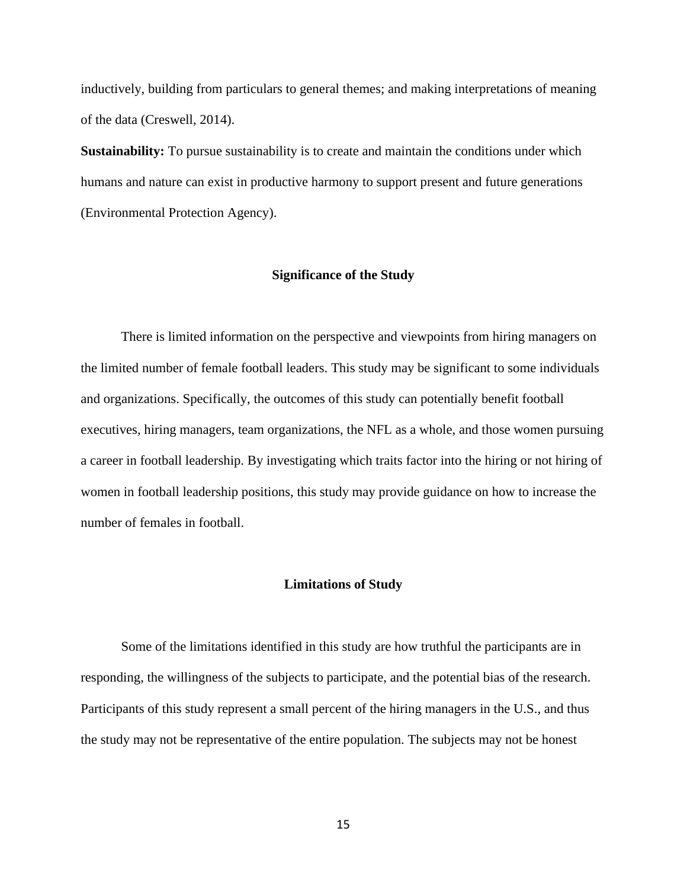inductively, building from particulars to general themes; and making interpretations of meaning of the data (Creswell, 2014).

**Sustainability:** To pursue sustainability is to create and maintain the conditions under which humans and nature can exist in productive harmony to support present and future generations (Environmental Protection Agency).

# **Significance of the Study**

There is limited information on the perspective and viewpoints from hiring managers on the limited number of female football leaders. This study may be significant to some individuals and organizations. Specifically, the outcomes of this study can potentially benefit football executives, hiring managers, team organizations, the NFL as a whole, and those women pursuing a career in football leadership. By investigating which traits factor into the hiring or not hiring of women in football leadership positions, this study may provide guidance on how to increase the number of females in football.

#### **Limitations of Study**

Some of the limitations identified in this study are how truthful the participants are in responding, the willingness of the subjects to participate, and the potential bias of the research. Participants of this study represent a small percent of the hiring managers in the U.S., and thus the study may not be representative of the entire population. The subjects may not be honest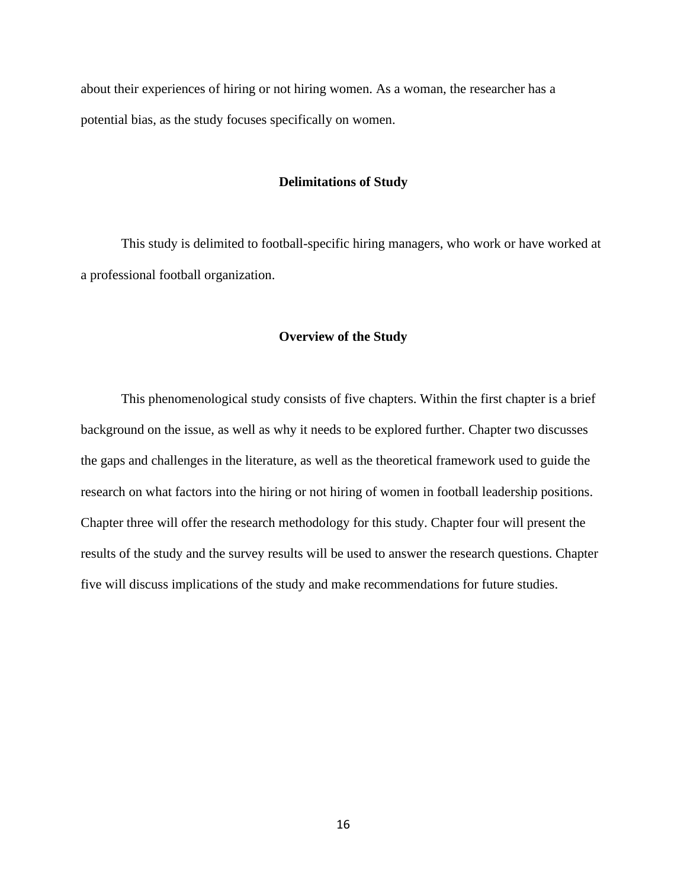about their experiences of hiring or not hiring women. As a woman, the researcher has a potential bias, as the study focuses specifically on women.

# **Delimitations of Study**

This study is delimited to football-specific hiring managers, who work or have worked at a professional football organization.

#### **Overview of the Study**

This phenomenological study consists of five chapters. Within the first chapter is a brief background on the issue, as well as why it needs to be explored further. Chapter two discusses the gaps and challenges in the literature, as well as the theoretical framework used to guide the research on what factors into the hiring or not hiring of women in football leadership positions. Chapter three will offer the research methodology for this study. Chapter four will present the results of the study and the survey results will be used to answer the research questions. Chapter five will discuss implications of the study and make recommendations for future studies.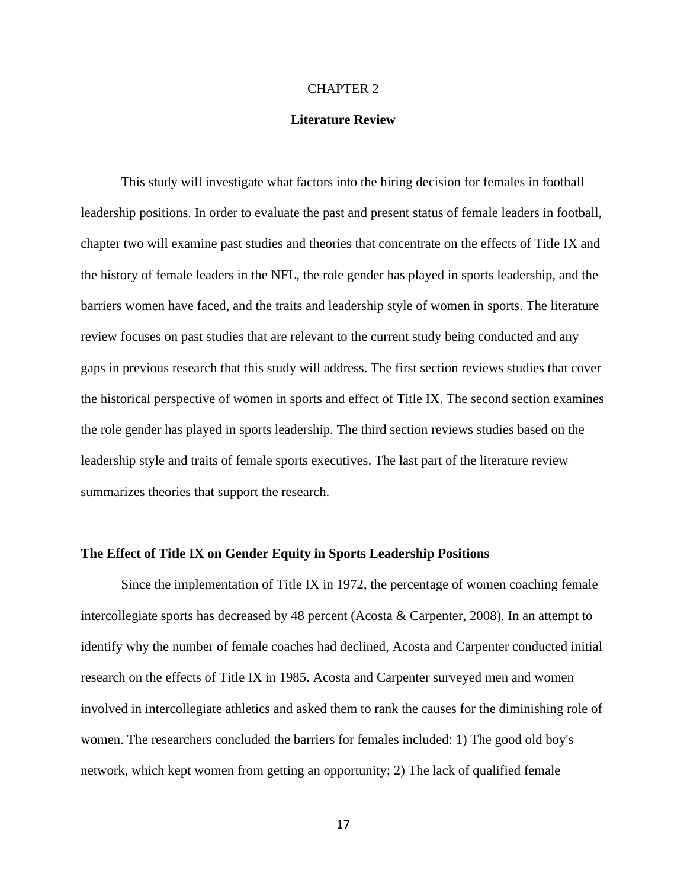#### CHAPTER 2

# **Literature Review**

This study will investigate what factors into the hiring decision for females in football leadership positions. In order to evaluate the past and present status of female leaders in football, chapter two will examine past studies and theories that concentrate on the effects of Title IX and the history of female leaders in the NFL, the role gender has played in sports leadership, and the barriers women have faced, and the traits and leadership style of women in sports. The literature review focuses on past studies that are relevant to the current study being conducted and any gaps in previous research that this study will address. The first section reviews studies that cover the historical perspective of women in sports and effect of Title IX. The second section examines the role gender has played in sports leadership. The third section reviews studies based on the leadership style and traits of female sports executives. The last part of the literature review summarizes theories that support the research.

#### **The Effect of Title IX on Gender Equity in Sports Leadership Positions**

Since the implementation of Title IX in 1972, the percentage of women coaching female intercollegiate sports has decreased by 48 percent (Acosta & Carpenter, 2008). In an attempt to identify why the number of female coaches had declined, Acosta and Carpenter conducted initial research on the effects of Title IX in 1985. Acosta and Carpenter surveyed men and women involved in intercollegiate athletics and asked them to rank the causes for the diminishing role of women. The researchers concluded the barriers for females included: 1) The good old boy's network, which kept women from getting an opportunity; 2) The lack of qualified female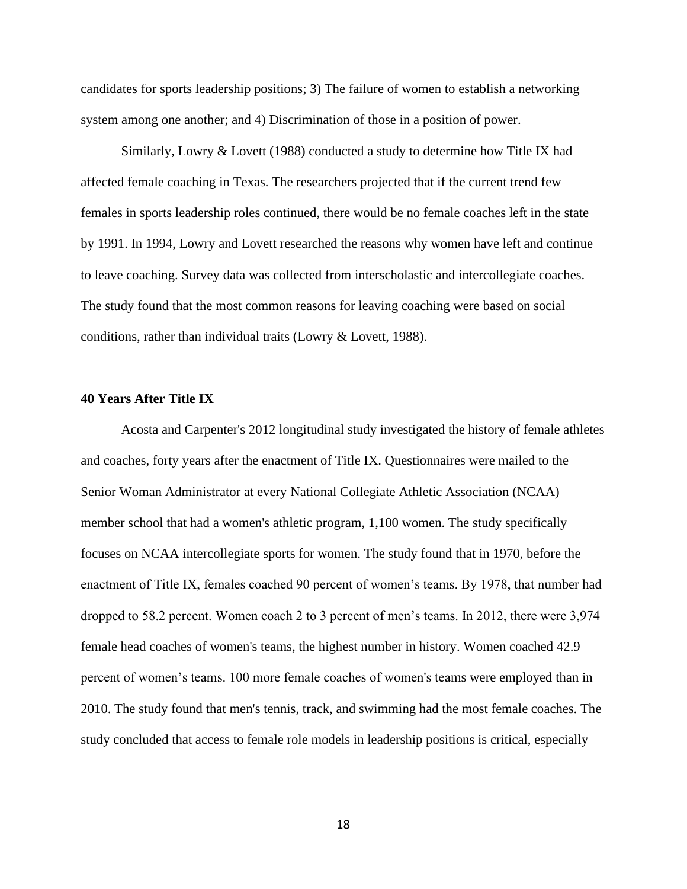candidates for sports leadership positions; 3) The failure of women to establish a networking system among one another; and 4) Discrimination of those in a position of power.

Similarly, Lowry & Lovett (1988) conducted a study to determine how Title IX had affected female coaching in Texas. The researchers projected that if the current trend few females in sports leadership roles continued, there would be no female coaches left in the state by 1991. In 1994, Lowry and Lovett researched the reasons why women have left and continue to leave coaching. Survey data was collected from interscholastic and intercollegiate coaches. The study found that the most common reasons for leaving coaching were based on social conditions, rather than individual traits (Lowry & Lovett, 1988).

# **40 Years After Title IX**

Acosta and Carpenter's 2012 longitudinal study investigated the history of female athletes and coaches, forty years after the enactment of Title IX. Questionnaires were mailed to the Senior Woman Administrator at every National Collegiate Athletic Association (NCAA) member school that had a women's athletic program, 1,100 women. The study specifically focuses on NCAA intercollegiate sports for women. The study found that in 1970, before the enactment of Title IX, females coached 90 percent of women's teams. By 1978, that number had dropped to 58.2 percent. Women coach 2 to 3 percent of men's teams. In 2012, there were 3,974 female head coaches of women's teams, the highest number in history. Women coached 42.9 percent of women's teams. 100 more female coaches of women's teams were employed than in 2010. The study found that men's tennis, track, and swimming had the most female coaches. The study concluded that access to female role models in leadership positions is critical, especially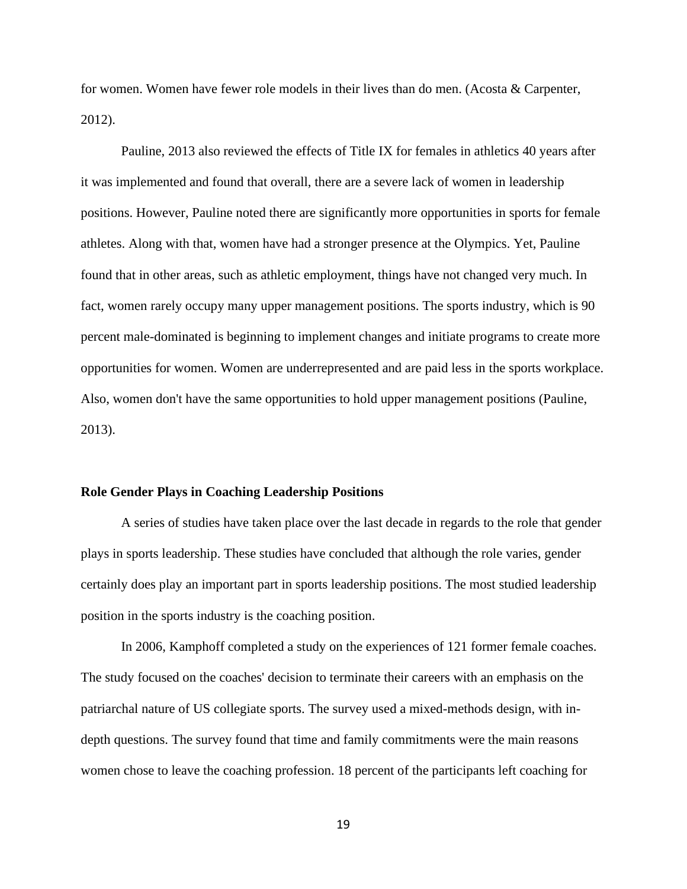for women. Women have fewer role models in their lives than do men. (Acosta & Carpenter, 2012).

Pauline, 2013 also reviewed the effects of Title IX for females in athletics 40 years after it was implemented and found that overall, there are a severe lack of women in leadership positions. However, Pauline noted there are significantly more opportunities in sports for female athletes. Along with that, women have had a stronger presence at the Olympics. Yet, Pauline found that in other areas, such as athletic employment, things have not changed very much. In fact, women rarely occupy many upper management positions. The sports industry, which is 90 percent male-dominated is beginning to implement changes and initiate programs to create more opportunities for women. Women are underrepresented and are paid less in the sports workplace. Also, women don't have the same opportunities to hold upper management positions (Pauline, 2013).

#### **Role Gender Plays in Coaching Leadership Positions**

A series of studies have taken place over the last decade in regards to the role that gender plays in sports leadership. These studies have concluded that although the role varies, gender certainly does play an important part in sports leadership positions. The most studied leadership position in the sports industry is the coaching position.

In 2006, Kamphoff completed a study on the experiences of 121 former female coaches. The study focused on the coaches' decision to terminate their careers with an emphasis on the patriarchal nature of US collegiate sports. The survey used a mixed-methods design, with indepth questions. The survey found that time and family commitments were the main reasons women chose to leave the coaching profession. 18 percent of the participants left coaching for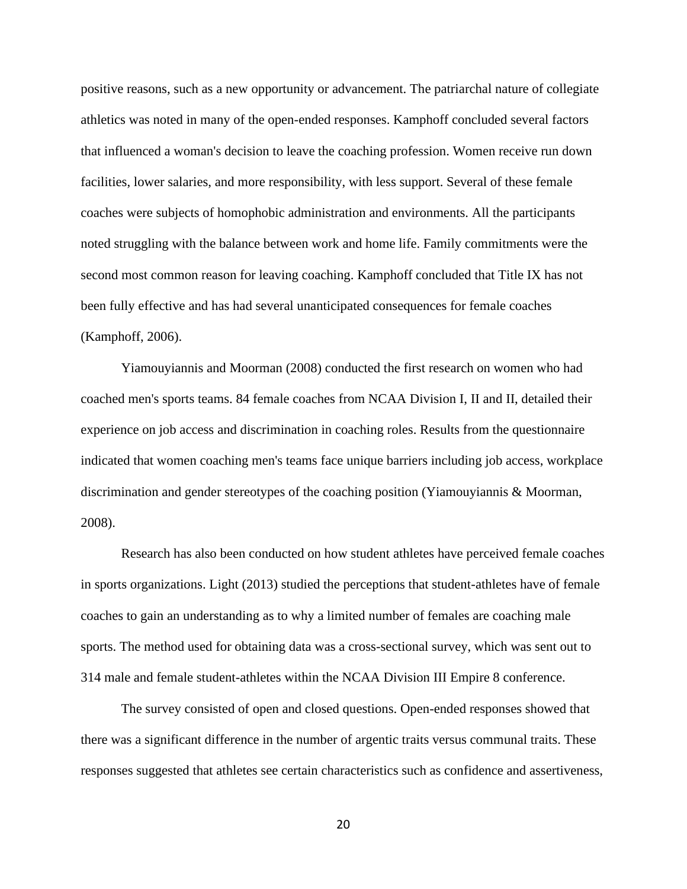positive reasons, such as a new opportunity or advancement. The patriarchal nature of collegiate athletics was noted in many of the open-ended responses. Kamphoff concluded several factors that influenced a woman's decision to leave the coaching profession. Women receive run down facilities, lower salaries, and more responsibility, with less support. Several of these female coaches were subjects of homophobic administration and environments. All the participants noted struggling with the balance between work and home life. Family commitments were the second most common reason for leaving coaching. Kamphoff concluded that Title IX has not been fully effective and has had several unanticipated consequences for female coaches (Kamphoff, 2006).

Yiamouyiannis and Moorman (2008) conducted the first research on women who had coached men's sports teams. 84 female coaches from NCAA Division I, II and II, detailed their experience on job access and discrimination in coaching roles. Results from the questionnaire indicated that women coaching men's teams face unique barriers including job access, workplace discrimination and gender stereotypes of the coaching position (Yiamouyiannis & Moorman, 2008).

Research has also been conducted on how student athletes have perceived female coaches in sports organizations. Light (2013) studied the perceptions that student-athletes have of female coaches to gain an understanding as to why a limited number of females are coaching male sports. The method used for obtaining data was a cross-sectional survey, which was sent out to 314 male and female student-athletes within the NCAA Division III Empire 8 conference.

The survey consisted of open and closed questions. Open-ended responses showed that there was a significant difference in the number of argentic traits versus communal traits. These responses suggested that athletes see certain characteristics such as confidence and assertiveness,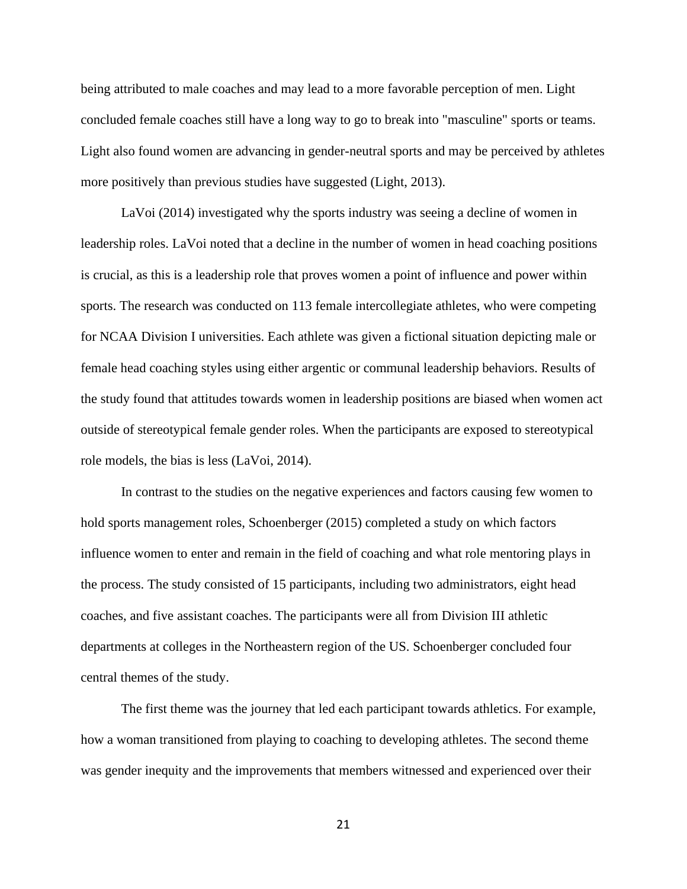being attributed to male coaches and may lead to a more favorable perception of men. Light concluded female coaches still have a long way to go to break into "masculine" sports or teams. Light also found women are advancing in gender-neutral sports and may be perceived by athletes more positively than previous studies have suggested (Light, 2013).

LaVoi (2014) investigated why the sports industry was seeing a decline of women in leadership roles. LaVoi noted that a decline in the number of women in head coaching positions is crucial, as this is a leadership role that proves women a point of influence and power within sports. The research was conducted on 113 female intercollegiate athletes, who were competing for NCAA Division I universities. Each athlete was given a fictional situation depicting male or female head coaching styles using either argentic or communal leadership behaviors. Results of the study found that attitudes towards women in leadership positions are biased when women act outside of stereotypical female gender roles. When the participants are exposed to stereotypical role models, the bias is less (LaVoi, 2014).

In contrast to the studies on the negative experiences and factors causing few women to hold sports management roles, Schoenberger (2015) completed a study on which factors influence women to enter and remain in the field of coaching and what role mentoring plays in the process. The study consisted of 15 participants, including two administrators, eight head coaches, and five assistant coaches. The participants were all from Division III athletic departments at colleges in the Northeastern region of the US. Schoenberger concluded four central themes of the study.

The first theme was the journey that led each participant towards athletics. For example, how a woman transitioned from playing to coaching to developing athletes. The second theme was gender inequity and the improvements that members witnessed and experienced over their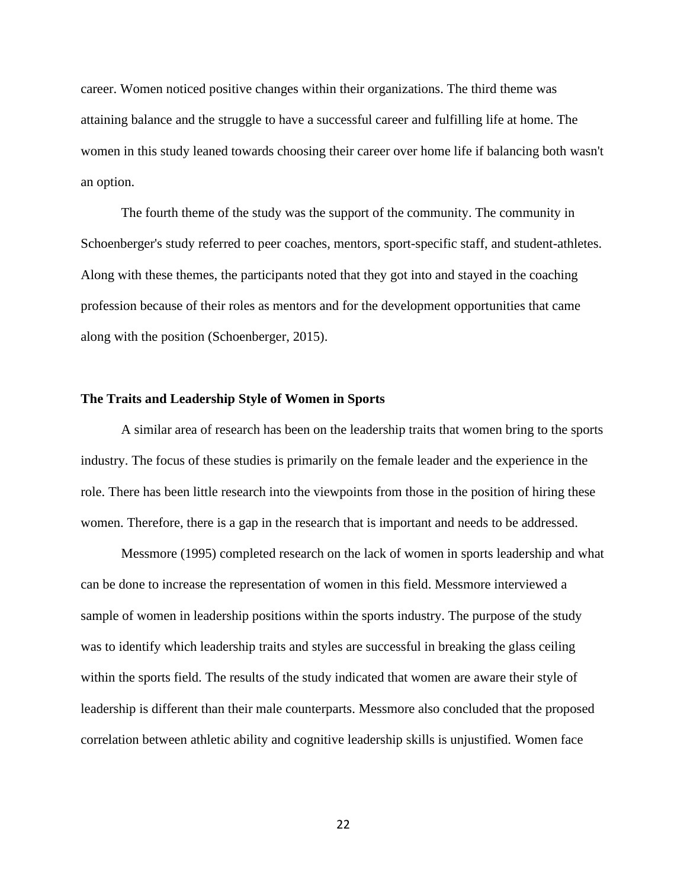career. Women noticed positive changes within their organizations. The third theme was attaining balance and the struggle to have a successful career and fulfilling life at home. The women in this study leaned towards choosing their career over home life if balancing both wasn't an option.

The fourth theme of the study was the support of the community. The community in Schoenberger's study referred to peer coaches, mentors, sport-specific staff, and student-athletes. Along with these themes, the participants noted that they got into and stayed in the coaching profession because of their roles as mentors and for the development opportunities that came along with the position (Schoenberger, 2015).

#### **The Traits and Leadership Style of Women in Sports**

A similar area of research has been on the leadership traits that women bring to the sports industry. The focus of these studies is primarily on the female leader and the experience in the role. There has been little research into the viewpoints from those in the position of hiring these women. Therefore, there is a gap in the research that is important and needs to be addressed.

Messmore (1995) completed research on the lack of women in sports leadership and what can be done to increase the representation of women in this field. Messmore interviewed a sample of women in leadership positions within the sports industry. The purpose of the study was to identify which leadership traits and styles are successful in breaking the glass ceiling within the sports field. The results of the study indicated that women are aware their style of leadership is different than their male counterparts. Messmore also concluded that the proposed correlation between athletic ability and cognitive leadership skills is unjustified. Women face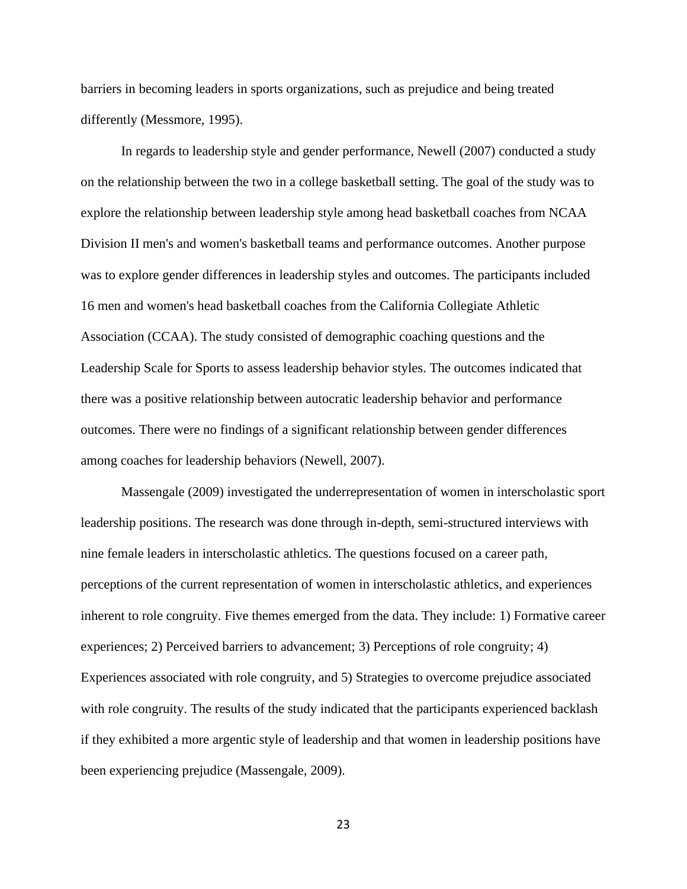barriers in becoming leaders in sports organizations, such as prejudice and being treated differently (Messmore, 1995).

In regards to leadership style and gender performance, Newell (2007) conducted a study on the relationship between the two in a college basketball setting. The goal of the study was to explore the relationship between leadership style among head basketball coaches from NCAA Division II men's and women's basketball teams and performance outcomes. Another purpose was to explore gender differences in leadership styles and outcomes. The participants included 16 men and women's head basketball coaches from the California Collegiate Athletic Association (CCAA). The study consisted of demographic coaching questions and the Leadership Scale for Sports to assess leadership behavior styles. The outcomes indicated that there was a positive relationship between autocratic leadership behavior and performance outcomes. There were no findings of a significant relationship between gender differences among coaches for leadership behaviors (Newell, 2007).

Massengale (2009) investigated the underrepresentation of women in interscholastic sport leadership positions. The research was done through in-depth, semi-structured interviews with nine female leaders in interscholastic athletics. The questions focused on a career path, perceptions of the current representation of women in interscholastic athletics, and experiences inherent to role congruity. Five themes emerged from the data. They include: 1) Formative career experiences; 2) Perceived barriers to advancement; 3) Perceptions of role congruity; 4) Experiences associated with role congruity, and 5) Strategies to overcome prejudice associated with role congruity. The results of the study indicated that the participants experienced backlash if they exhibited a more argentic style of leadership and that women in leadership positions have been experiencing prejudice (Massengale, 2009).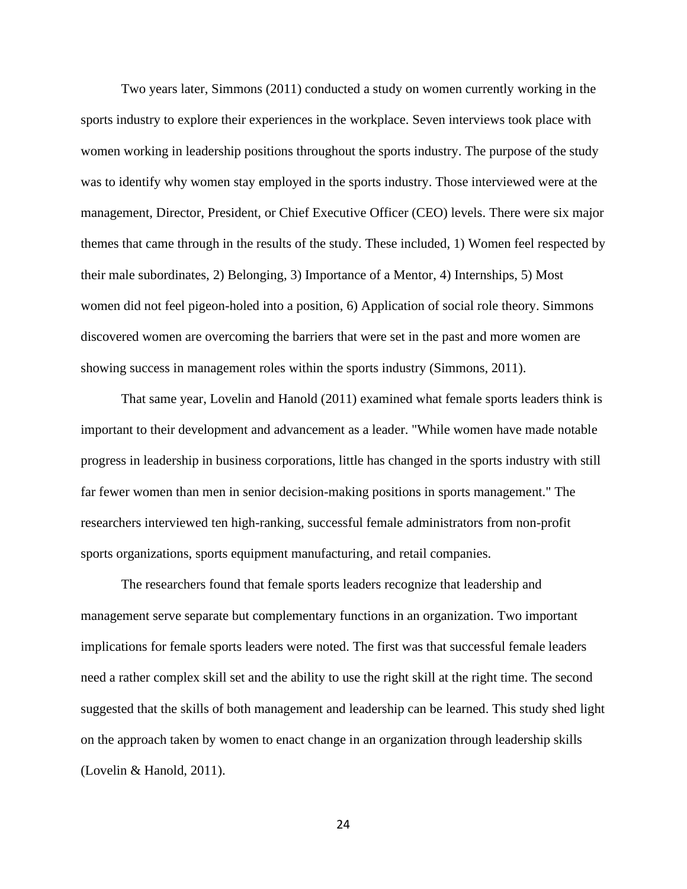Two years later, Simmons (2011) conducted a study on women currently working in the sports industry to explore their experiences in the workplace. Seven interviews took place with women working in leadership positions throughout the sports industry. The purpose of the study was to identify why women stay employed in the sports industry. Those interviewed were at the management, Director, President, or Chief Executive Officer (CEO) levels. There were six major themes that came through in the results of the study. These included, 1) Women feel respected by their male subordinates, 2) Belonging, 3) Importance of a Mentor, 4) Internships, 5) Most women did not feel pigeon-holed into a position, 6) Application of social role theory. Simmons discovered women are overcoming the barriers that were set in the past and more women are showing success in management roles within the sports industry (Simmons, 2011).

That same year, Lovelin and Hanold (2011) examined what female sports leaders think is important to their development and advancement as a leader. "While women have made notable progress in leadership in business corporations, little has changed in the sports industry with still far fewer women than men in senior decision-making positions in sports management." The researchers interviewed ten high-ranking, successful female administrators from non-profit sports organizations, sports equipment manufacturing, and retail companies.

The researchers found that female sports leaders recognize that leadership and management serve separate but complementary functions in an organization. Two important implications for female sports leaders were noted. The first was that successful female leaders need a rather complex skill set and the ability to use the right skill at the right time. The second suggested that the skills of both management and leadership can be learned. This study shed light on the approach taken by women to enact change in an organization through leadership skills (Lovelin & Hanold, 2011).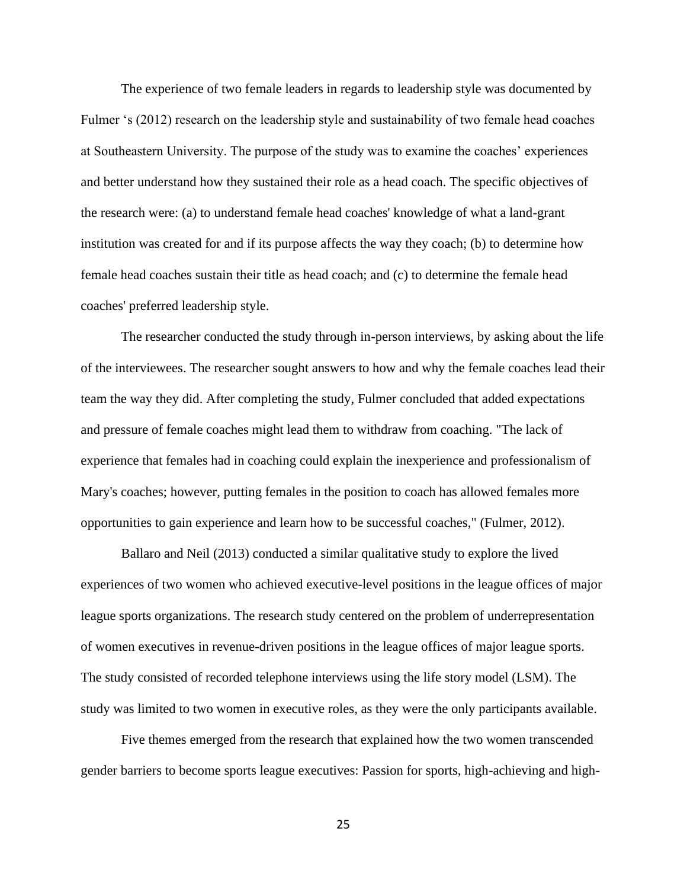The experience of two female leaders in regards to leadership style was documented by Fulmer 's (2012) research on the leadership style and sustainability of two female head coaches at Southeastern University. The purpose of the study was to examine the coaches' experiences and better understand how they sustained their role as a head coach. The specific objectives of the research were: (a) to understand female head coaches' knowledge of what a land-grant institution was created for and if its purpose affects the way they coach; (b) to determine how female head coaches sustain their title as head coach; and (c) to determine the female head coaches' preferred leadership style.

The researcher conducted the study through in-person interviews, by asking about the life of the interviewees. The researcher sought answers to how and why the female coaches lead their team the way they did. After completing the study, Fulmer concluded that added expectations and pressure of female coaches might lead them to withdraw from coaching. "The lack of experience that females had in coaching could explain the inexperience and professionalism of Mary's coaches; however, putting females in the position to coach has allowed females more opportunities to gain experience and learn how to be successful coaches," (Fulmer, 2012).

Ballaro and Neil (2013) conducted a similar qualitative study to explore the lived experiences of two women who achieved executive-level positions in the league offices of major league sports organizations. The research study centered on the problem of underrepresentation of women executives in revenue-driven positions in the league offices of major league sports. The study consisted of recorded telephone interviews using the life story model (LSM). The study was limited to two women in executive roles, as they were the only participants available.

Five themes emerged from the research that explained how the two women transcended gender barriers to become sports league executives: Passion for sports, high-achieving and high-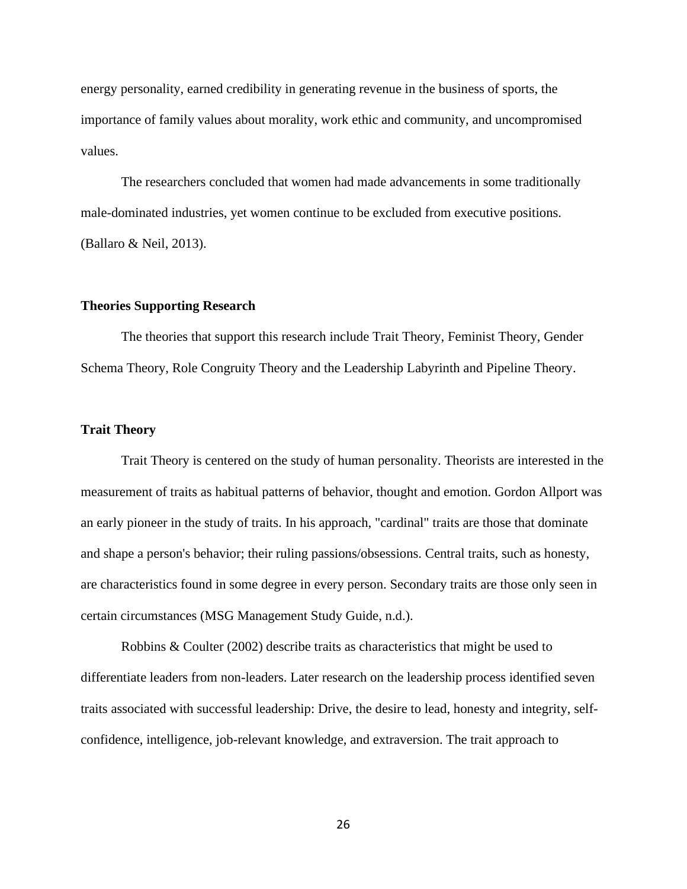energy personality, earned credibility in generating revenue in the business of sports, the importance of family values about morality, work ethic and community, and uncompromised values.

The researchers concluded that women had made advancements in some traditionally male-dominated industries, yet women continue to be excluded from executive positions. (Ballaro & Neil, 2013).

## **Theories Supporting Research**

The theories that support this research include Trait Theory, Feminist Theory, Gender Schema Theory, Role Congruity Theory and the Leadership Labyrinth and Pipeline Theory.

# **Trait Theory**

Trait Theory is centered on the study of human personality. Theorists are interested in the measurement of traits as habitual patterns of behavior, thought and emotion. Gordon Allport was an early pioneer in the study of traits. In his approach, "cardinal" traits are those that dominate and shape a person's behavior; their ruling passions/obsessions. Central traits, such as honesty, are characteristics found in some degree in every person. Secondary traits are those only seen in certain circumstances (MSG Management Study Guide, n.d.).

Robbins & Coulter (2002) describe traits as characteristics that might be used to differentiate leaders from non-leaders. Later research on the leadership process identified seven traits associated with successful leadership: Drive, the desire to lead, honesty and integrity, selfconfidence, intelligence, job-relevant knowledge, and extraversion. The trait approach to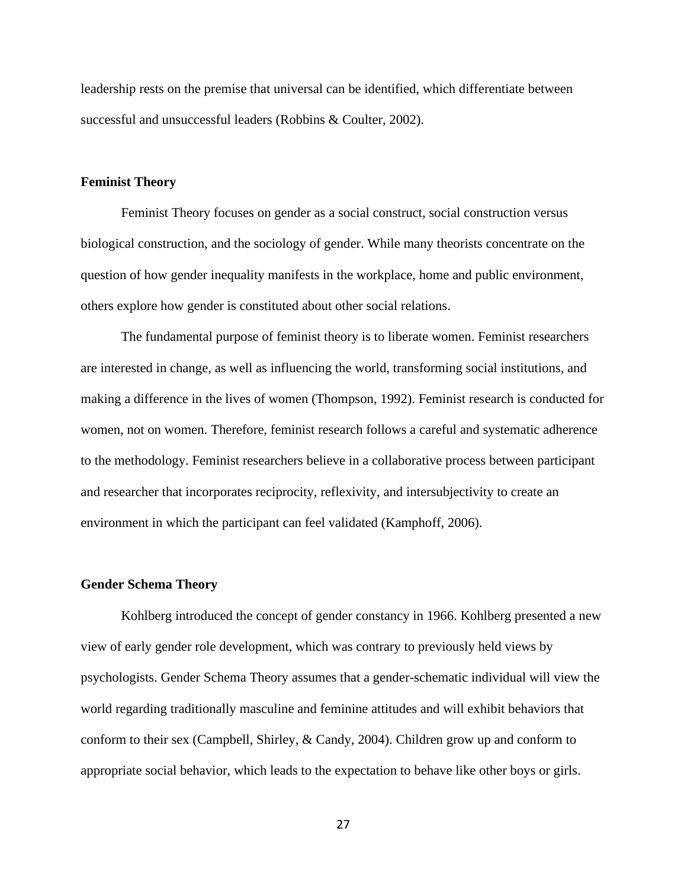leadership rests on the premise that universal can be identified, which differentiate between successful and unsuccessful leaders (Robbins & Coulter, 2002).

# **Feminist Theory**

Feminist Theory focuses on gender as a social construct, social construction versus biological construction, and the sociology of gender. While many theorists concentrate on the question of how gender inequality manifests in the workplace, home and public environment, others explore how gender is constituted about other social relations.

The fundamental purpose of feminist theory is to liberate women. Feminist researchers are interested in change, as well as influencing the world, transforming social institutions, and making a difference in the lives of women (Thompson, 1992). Feminist research is conducted for women, not on women. Therefore, feminist research follows a careful and systematic adherence to the methodology. Feminist researchers believe in a collaborative process between participant and researcher that incorporates reciprocity, reflexivity, and intersubjectivity to create an environment in which the participant can feel validated (Kamphoff, 2006).

#### **Gender Schema Theory**

Kohlberg introduced the concept of gender constancy in 1966. Kohlberg presented a new view of early gender role development, which was contrary to previously held views by psychologists. Gender Schema Theory assumes that a gender-schematic individual will view the world regarding traditionally masculine and feminine attitudes and will exhibit behaviors that conform to their sex (Campbell, Shirley, & Candy, 2004). Children grow up and conform to appropriate social behavior, which leads to the expectation to behave like other boys or girls.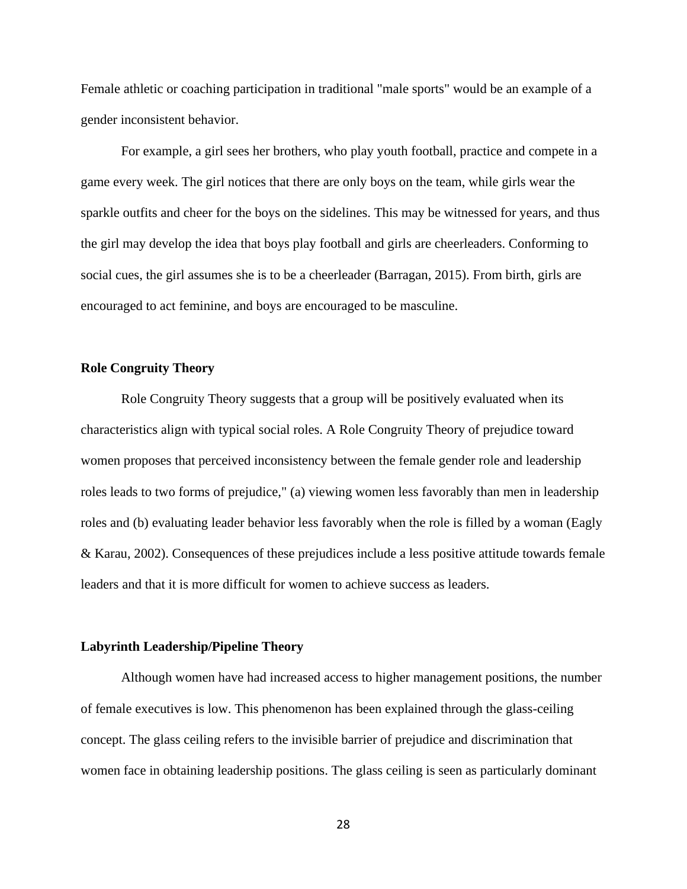Female athletic or coaching participation in traditional "male sports" would be an example of a gender inconsistent behavior.

For example, a girl sees her brothers, who play youth football, practice and compete in a game every week. The girl notices that there are only boys on the team, while girls wear the sparkle outfits and cheer for the boys on the sidelines. This may be witnessed for years, and thus the girl may develop the idea that boys play football and girls are cheerleaders. Conforming to social cues, the girl assumes she is to be a cheerleader (Barragan, 2015). From birth, girls are encouraged to act feminine, and boys are encouraged to be masculine.

# **Role Congruity Theory**

Role Congruity Theory suggests that a group will be positively evaluated when its characteristics align with typical social roles. A Role Congruity Theory of prejudice toward women proposes that perceived inconsistency between the female gender role and leadership roles leads to two forms of prejudice," (a) viewing women less favorably than men in leadership roles and (b) evaluating leader behavior less favorably when the role is filled by a woman (Eagly & Karau, 2002). Consequences of these prejudices include a less positive attitude towards female leaders and that it is more difficult for women to achieve success as leaders.

#### **Labyrinth Leadership/Pipeline Theory**

Although women have had increased access to higher management positions, the number of female executives is low. This phenomenon has been explained through the glass-ceiling concept. The glass ceiling refers to the invisible barrier of prejudice and discrimination that women face in obtaining leadership positions. The glass ceiling is seen as particularly dominant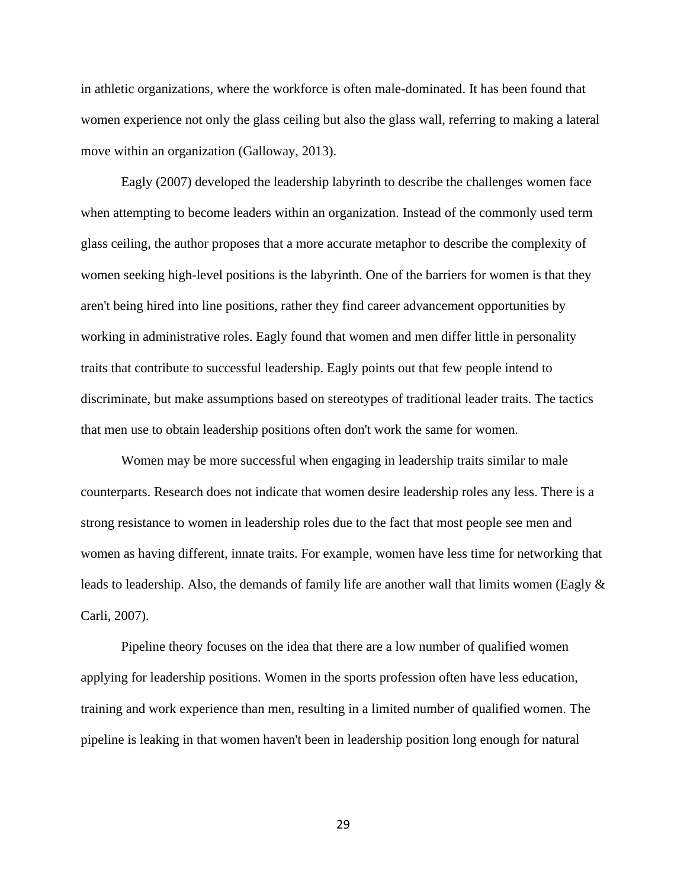in athletic organizations, where the workforce is often male-dominated. It has been found that women experience not only the glass ceiling but also the glass wall, referring to making a lateral move within an organization (Galloway, 2013).

Eagly (2007) developed the leadership labyrinth to describe the challenges women face when attempting to become leaders within an organization. Instead of the commonly used term glass ceiling, the author proposes that a more accurate metaphor to describe the complexity of women seeking high-level positions is the labyrinth. One of the barriers for women is that they aren't being hired into line positions, rather they find career advancement opportunities by working in administrative roles. Eagly found that women and men differ little in personality traits that contribute to successful leadership. Eagly points out that few people intend to discriminate, but make assumptions based on stereotypes of traditional leader traits. The tactics that men use to obtain leadership positions often don't work the same for women.

Women may be more successful when engaging in leadership traits similar to male counterparts. Research does not indicate that women desire leadership roles any less. There is a strong resistance to women in leadership roles due to the fact that most people see men and women as having different, innate traits. For example, women have less time for networking that leads to leadership. Also, the demands of family life are another wall that limits women (Eagly & Carli, 2007).

Pipeline theory focuses on the idea that there are a low number of qualified women applying for leadership positions. Women in the sports profession often have less education, training and work experience than men, resulting in a limited number of qualified women. The pipeline is leaking in that women haven't been in leadership position long enough for natural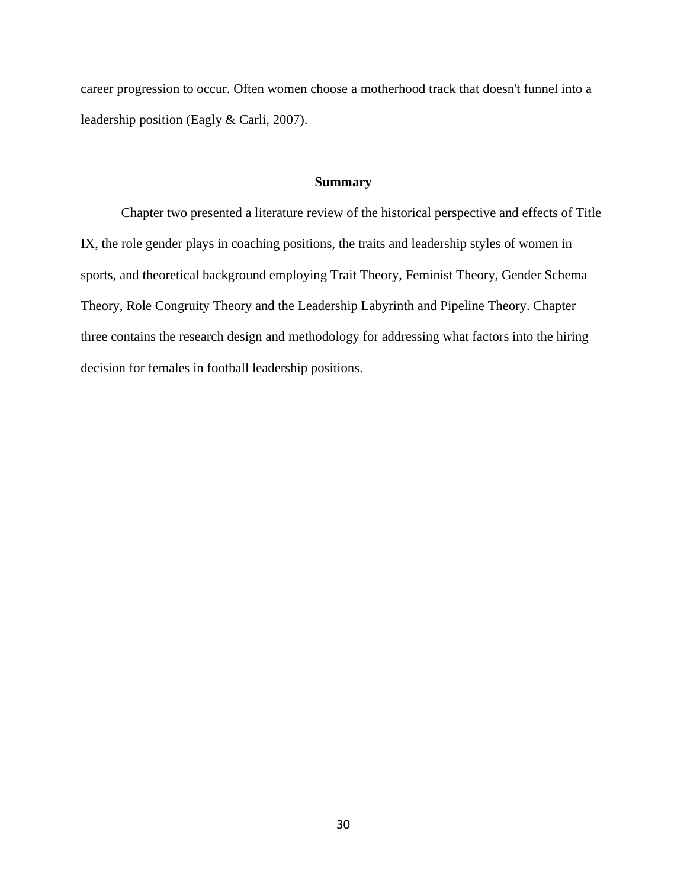career progression to occur. Often women choose a motherhood track that doesn't funnel into a leadership position (Eagly & Carli, 2007).

#### **Summary**

Chapter two presented a literature review of the historical perspective and effects of Title IX, the role gender plays in coaching positions, the traits and leadership styles of women in sports, and theoretical background employing Trait Theory, Feminist Theory, Gender Schema Theory, Role Congruity Theory and the Leadership Labyrinth and Pipeline Theory. Chapter three contains the research design and methodology for addressing what factors into the hiring decision for females in football leadership positions.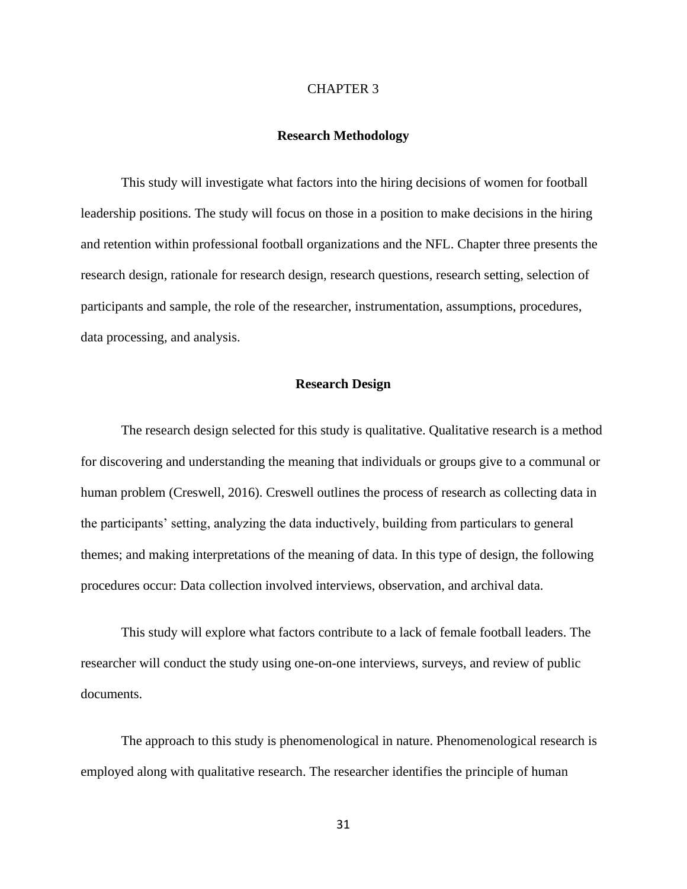#### CHAPTER 3

# **Research Methodology**

This study will investigate what factors into the hiring decisions of women for football leadership positions. The study will focus on those in a position to make decisions in the hiring and retention within professional football organizations and the NFL. Chapter three presents the research design, rationale for research design, research questions, research setting, selection of participants and sample, the role of the researcher, instrumentation, assumptions, procedures, data processing, and analysis.

# **Research Design**

The research design selected for this study is qualitative. Qualitative research is a method for discovering and understanding the meaning that individuals or groups give to a communal or human problem (Creswell, 2016). Creswell outlines the process of research as collecting data in the participants' setting, analyzing the data inductively, building from particulars to general themes; and making interpretations of the meaning of data. In this type of design, the following procedures occur: Data collection involved interviews, observation, and archival data.

This study will explore what factors contribute to a lack of female football leaders. The researcher will conduct the study using one-on-one interviews, surveys, and review of public documents.

The approach to this study is phenomenological in nature. Phenomenological research is employed along with qualitative research. The researcher identifies the principle of human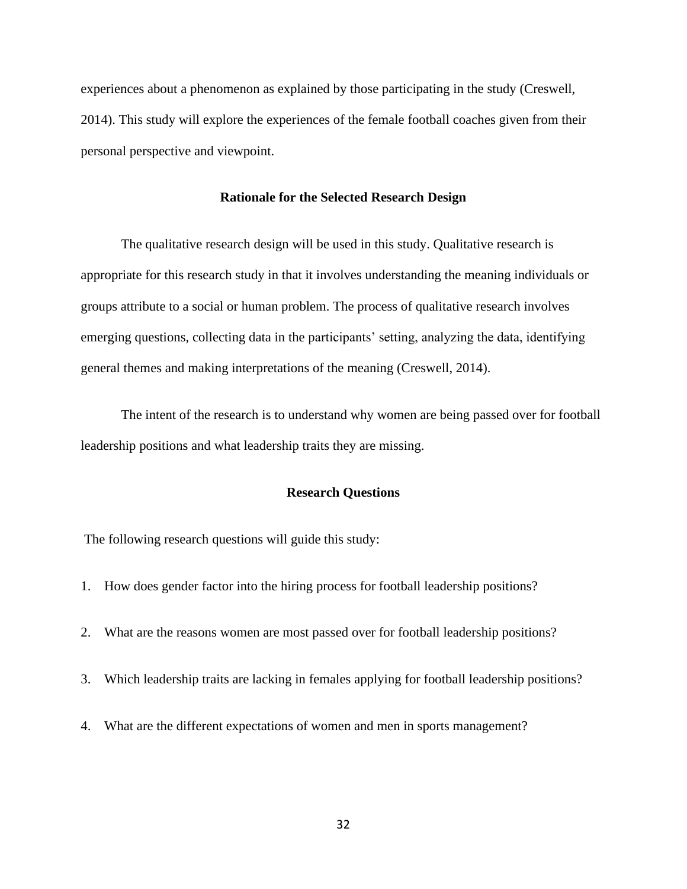experiences about a phenomenon as explained by those participating in the study (Creswell, 2014). This study will explore the experiences of the female football coaches given from their personal perspective and viewpoint.

#### **Rationale for the Selected Research Design**

The qualitative research design will be used in this study. Qualitative research is appropriate for this research study in that it involves understanding the meaning individuals or groups attribute to a social or human problem. The process of qualitative research involves emerging questions, collecting data in the participants' setting, analyzing the data, identifying general themes and making interpretations of the meaning (Creswell, 2014).

The intent of the research is to understand why women are being passed over for football leadership positions and what leadership traits they are missing.

## **Research Questions**

The following research questions will guide this study:

- 1. How does gender factor into the hiring process for football leadership positions?
- 2. What are the reasons women are most passed over for football leadership positions?
- 3. Which leadership traits are lacking in females applying for football leadership positions?
- 4. What are the different expectations of women and men in sports management?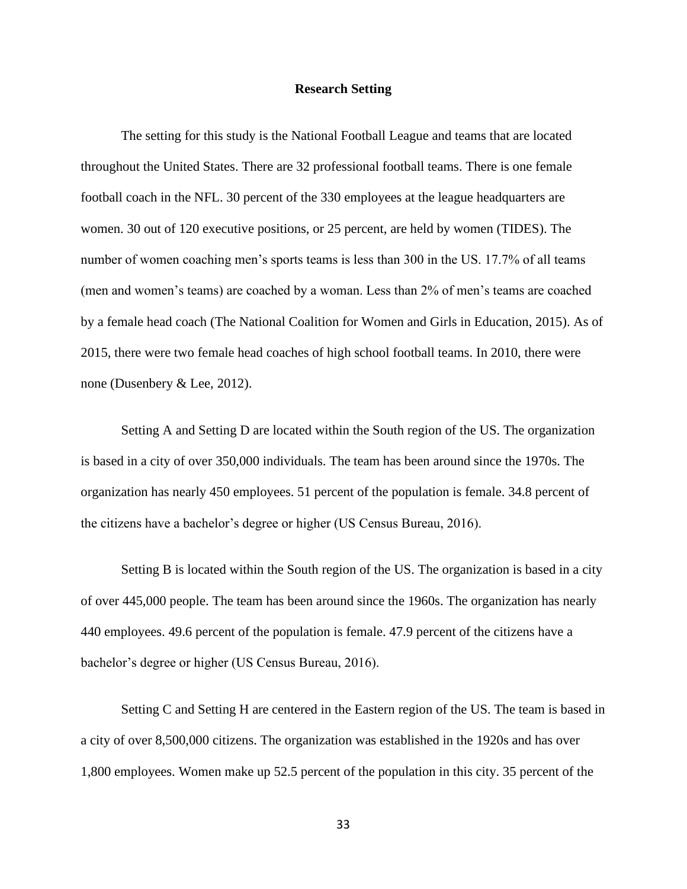# **Research Setting**

The setting for this study is the National Football League and teams that are located throughout the United States. There are 32 professional football teams. There is one female football coach in the NFL. 30 percent of the 330 employees at the league headquarters are women. 30 out of 120 executive positions, or 25 percent, are held by women (TIDES). The number of women coaching men's sports teams is less than 300 in the US. 17.7% of all teams (men and women's teams) are coached by a woman. Less than 2% of men's teams are coached by a female head coach (The National Coalition for Women and Girls in Education, 2015). As of 2015, there were two female head coaches of high school football teams. In 2010, there were none (Dusenbery & Lee, 2012).

Setting A and Setting D are located within the South region of the US. The organization is based in a city of over 350,000 individuals. The team has been around since the 1970s. The organization has nearly 450 employees. 51 percent of the population is female. 34.8 percent of the citizens have a bachelor's degree or higher (US Census Bureau, 2016).

Setting B is located within the South region of the US. The organization is based in a city of over 445,000 people. The team has been around since the 1960s. The organization has nearly 440 employees. 49.6 percent of the population is female. 47.9 percent of the citizens have a bachelor's degree or higher (US Census Bureau, 2016).

Setting C and Setting H are centered in the Eastern region of the US. The team is based in a city of over 8,500,000 citizens. The organization was established in the 1920s and has over 1,800 employees. Women make up 52.5 percent of the population in this city. 35 percent of the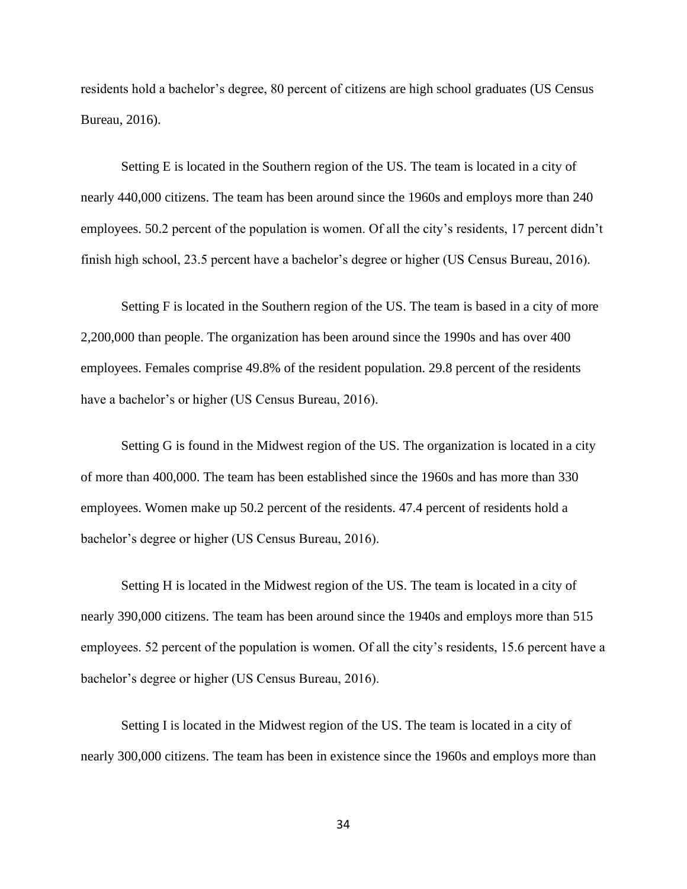residents hold a bachelor's degree, 80 percent of citizens are high school graduates (US Census Bureau, 2016).

Setting E is located in the Southern region of the US. The team is located in a city of nearly 440,000 citizens. The team has been around since the 1960s and employs more than 240 employees. 50.2 percent of the population is women. Of all the city's residents, 17 percent didn't finish high school, 23.5 percent have a bachelor's degree or higher (US Census Bureau, 2016).

Setting F is located in the Southern region of the US. The team is based in a city of more 2,200,000 than people. The organization has been around since the 1990s and has over 400 employees. Females comprise 49.8% of the resident population. 29.8 percent of the residents have a bachelor's or higher (US Census Bureau, 2016).

Setting G is found in the Midwest region of the US. The organization is located in a city of more than 400,000. The team has been established since the 1960s and has more than 330 employees. Women make up 50.2 percent of the residents. 47.4 percent of residents hold a bachelor's degree or higher (US Census Bureau, 2016).

Setting H is located in the Midwest region of the US. The team is located in a city of nearly 390,000 citizens. The team has been around since the 1940s and employs more than 515 employees. 52 percent of the population is women. Of all the city's residents, 15.6 percent have a bachelor's degree or higher (US Census Bureau, 2016).

Setting I is located in the Midwest region of the US. The team is located in a city of nearly 300,000 citizens. The team has been in existence since the 1960s and employs more than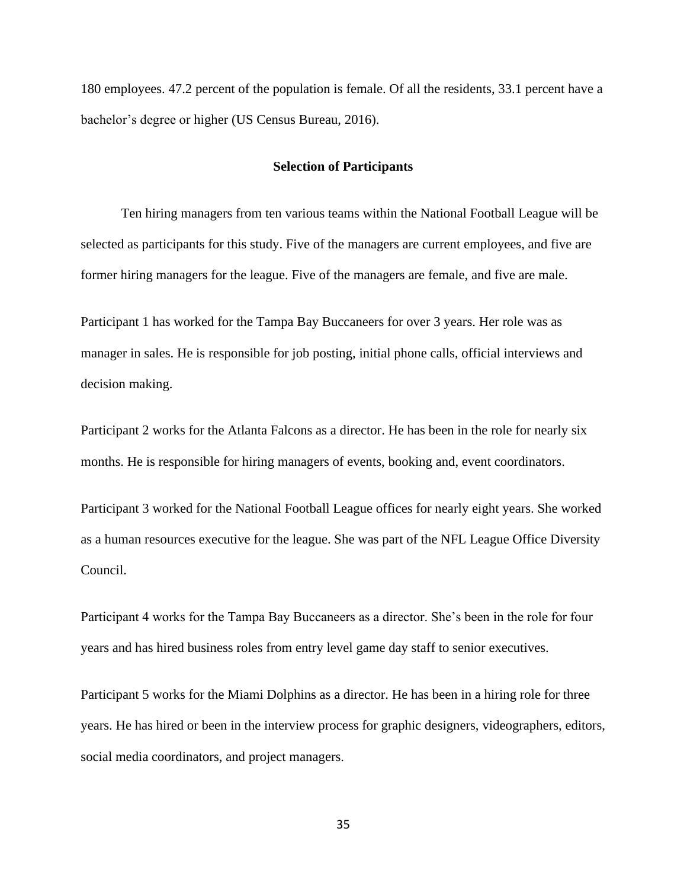180 employees. 47.2 percent of the population is female. Of all the residents, 33.1 percent have a bachelor's degree or higher (US Census Bureau, 2016).

# **Selection of Participants**

Ten hiring managers from ten various teams within the National Football League will be selected as participants for this study. Five of the managers are current employees, and five are former hiring managers for the league. Five of the managers are female, and five are male.

Participant 1 has worked for the Tampa Bay Buccaneers for over 3 years. Her role was as manager in sales. He is responsible for job posting, initial phone calls, official interviews and decision making.

Participant 2 works for the Atlanta Falcons as a director. He has been in the role for nearly six months. He is responsible for hiring managers of events, booking and, event coordinators.

Participant 3 worked for the National Football League offices for nearly eight years. She worked as a human resources executive for the league. She was part of the NFL League Office Diversity Council.

Participant 4 works for the Tampa Bay Buccaneers as a director. She's been in the role for four years and has hired business roles from entry level game day staff to senior executives.

Participant 5 works for the Miami Dolphins as a director. He has been in a hiring role for three years. He has hired or been in the interview process for graphic designers, videographers, editors, social media coordinators, and project managers.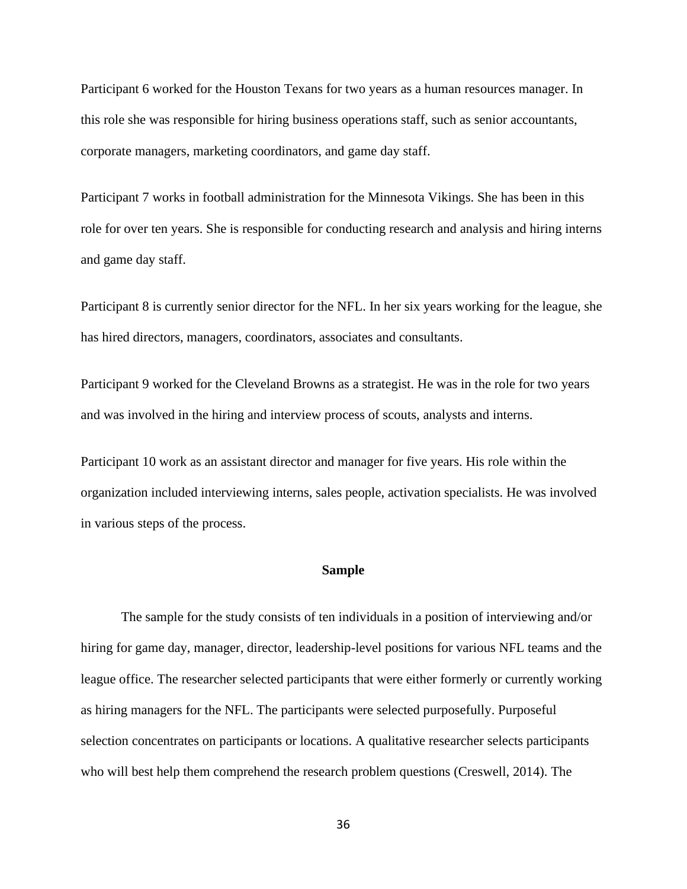Participant 6 worked for the Houston Texans for two years as a human resources manager. In this role she was responsible for hiring business operations staff, such as senior accountants, corporate managers, marketing coordinators, and game day staff.

Participant 7 works in football administration for the Minnesota Vikings. She has been in this role for over ten years. She is responsible for conducting research and analysis and hiring interns and game day staff.

Participant 8 is currently senior director for the NFL. In her six years working for the league, she has hired directors, managers, coordinators, associates and consultants.

Participant 9 worked for the Cleveland Browns as a strategist. He was in the role for two years and was involved in the hiring and interview process of scouts, analysts and interns.

Participant 10 work as an assistant director and manager for five years. His role within the organization included interviewing interns, sales people, activation specialists. He was involved in various steps of the process.

# **Sample**

The sample for the study consists of ten individuals in a position of interviewing and/or hiring for game day, manager, director, leadership-level positions for various NFL teams and the league office. The researcher selected participants that were either formerly or currently working as hiring managers for the NFL. The participants were selected purposefully. Purposeful selection concentrates on participants or locations. A qualitative researcher selects participants who will best help them comprehend the research problem questions (Creswell, 2014). The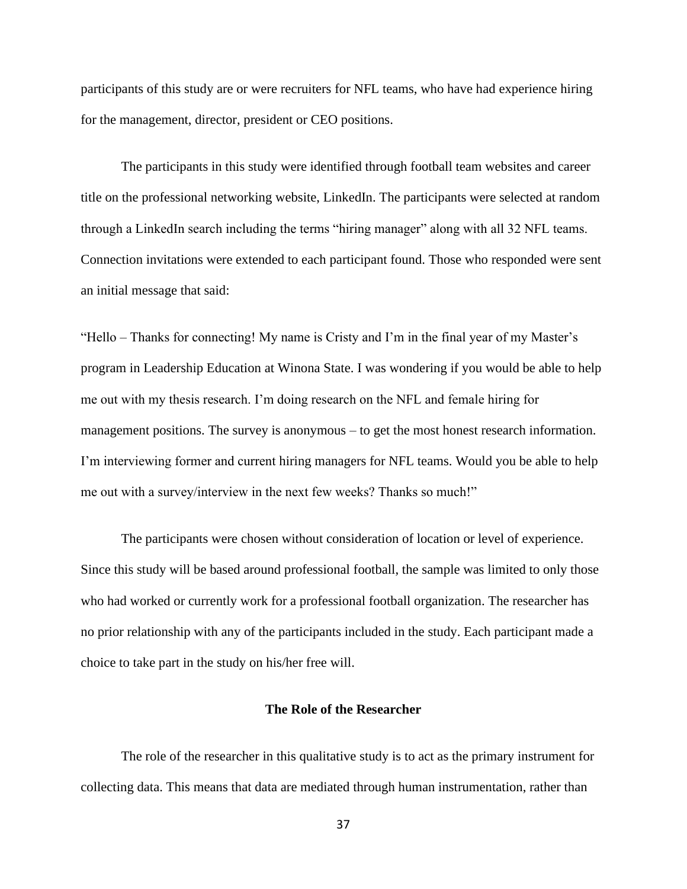participants of this study are or were recruiters for NFL teams, who have had experience hiring for the management, director, president or CEO positions.

The participants in this study were identified through football team websites and career title on the professional networking website, LinkedIn. The participants were selected at random through a LinkedIn search including the terms "hiring manager" along with all 32 NFL teams. Connection invitations were extended to each participant found. Those who responded were sent an initial message that said:

"Hello – Thanks for connecting! My name is Cristy and I'm in the final year of my Master's program in Leadership Education at Winona State. I was wondering if you would be able to help me out with my thesis research. I'm doing research on the NFL and female hiring for management positions. The survey is anonymous – to get the most honest research information. I'm interviewing former and current hiring managers for NFL teams. Would you be able to help me out with a survey/interview in the next few weeks? Thanks so much!"

The participants were chosen without consideration of location or level of experience. Since this study will be based around professional football, the sample was limited to only those who had worked or currently work for a professional football organization. The researcher has no prior relationship with any of the participants included in the study. Each participant made a choice to take part in the study on his/her free will.

# **The Role of the Researcher**

The role of the researcher in this qualitative study is to act as the primary instrument for collecting data. This means that data are mediated through human instrumentation, rather than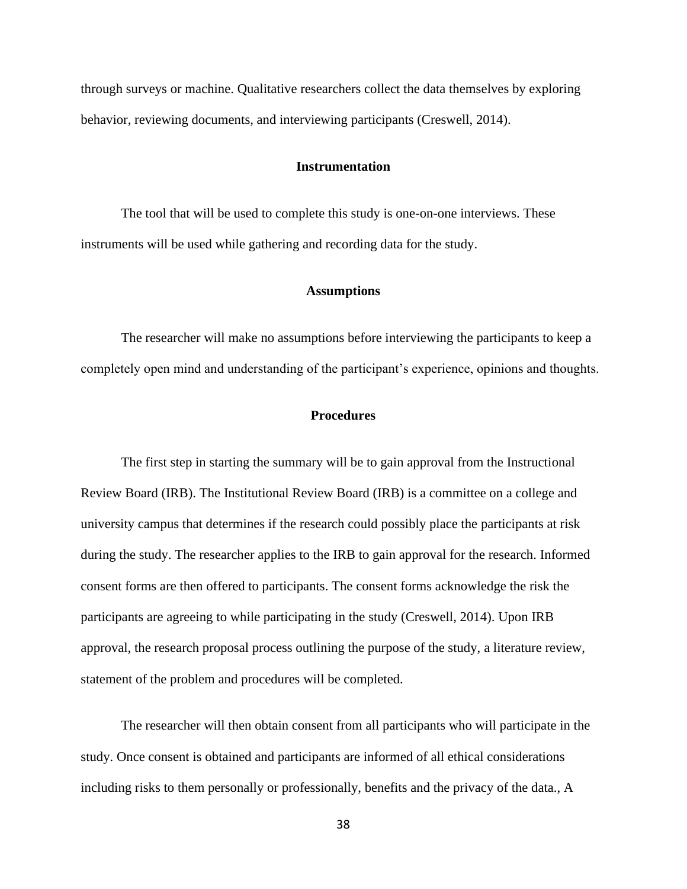through surveys or machine. Qualitative researchers collect the data themselves by exploring behavior, reviewing documents, and interviewing participants (Creswell, 2014).

## **Instrumentation**

The tool that will be used to complete this study is one-on-one interviews. These instruments will be used while gathering and recording data for the study.

## **Assumptions**

The researcher will make no assumptions before interviewing the participants to keep a completely open mind and understanding of the participant's experience, opinions and thoughts.

# **Procedures**

The first step in starting the summary will be to gain approval from the Instructional Review Board (IRB). The Institutional Review Board (IRB) is a committee on a college and university campus that determines if the research could possibly place the participants at risk during the study. The researcher applies to the IRB to gain approval for the research. Informed consent forms are then offered to participants. The consent forms acknowledge the risk the participants are agreeing to while participating in the study (Creswell, 2014). Upon IRB approval, the research proposal process outlining the purpose of the study, a literature review, statement of the problem and procedures will be completed.

The researcher will then obtain consent from all participants who will participate in the study. Once consent is obtained and participants are informed of all ethical considerations including risks to them personally or professionally, benefits and the privacy of the data., A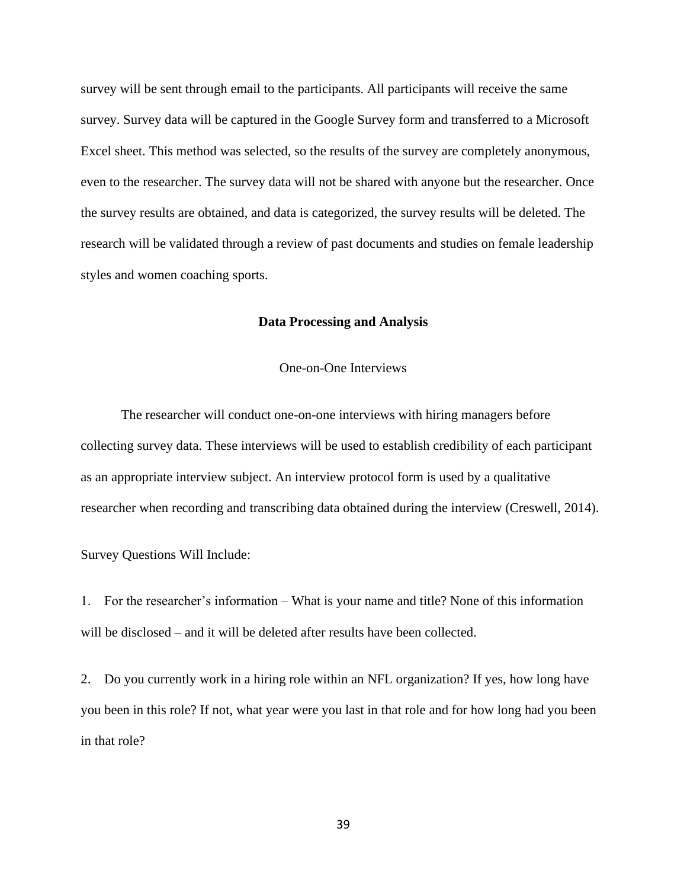survey will be sent through email to the participants. All participants will receive the same survey. Survey data will be captured in the Google Survey form and transferred to a Microsoft Excel sheet. This method was selected, so the results of the survey are completely anonymous, even to the researcher. The survey data will not be shared with anyone but the researcher. Once the survey results are obtained, and data is categorized, the survey results will be deleted. The research will be validated through a review of past documents and studies on female leadership styles and women coaching sports.

# **Data Processing and Analysis**

One-on-One Interviews

The researcher will conduct one-on-one interviews with hiring managers before collecting survey data. These interviews will be used to establish credibility of each participant as an appropriate interview subject. An interview protocol form is used by a qualitative researcher when recording and transcribing data obtained during the interview (Creswell, 2014).

Survey Questions Will Include:

1. For the researcher's information – What is your name and title? None of this information will be disclosed – and it will be deleted after results have been collected.

2. Do you currently work in a hiring role within an NFL organization? If yes, how long have you been in this role? If not, what year were you last in that role and for how long had you been in that role?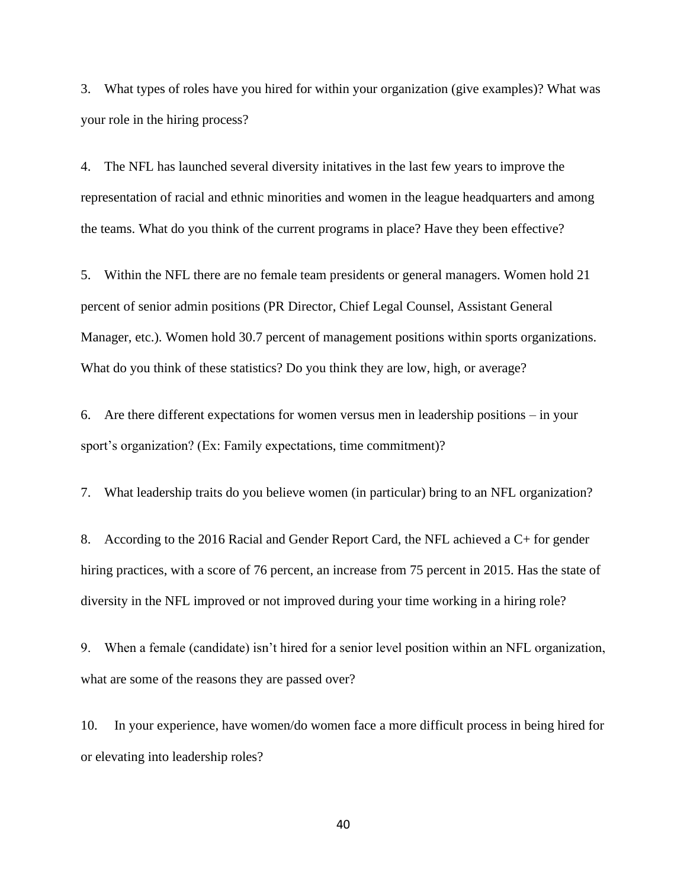3. What types of roles have you hired for within your organization (give examples)? What was your role in the hiring process?

4. The NFL has launched several diversity initatives in the last few years to improve the representation of racial and ethnic minorities and women in the league headquarters and among the teams. What do you think of the current programs in place? Have they been effective?

5. Within the NFL there are no female team presidents or general managers. Women hold 21 percent of senior admin positions (PR Director, Chief Legal Counsel, Assistant General Manager, etc.). Women hold 30.7 percent of management positions within sports organizations. What do you think of these statistics? Do you think they are low, high, or average?

6. Are there different expectations for women versus men in leadership positions – in your sport's organization? (Ex: Family expectations, time commitment)?

7. What leadership traits do you believe women (in particular) bring to an NFL organization?

8. According to the 2016 Racial and Gender Report Card, the NFL achieved a C+ for gender hiring practices, with a score of 76 percent, an increase from 75 percent in 2015. Has the state of diversity in the NFL improved or not improved during your time working in a hiring role?

9. When a female (candidate) isn't hired for a senior level position within an NFL organization, what are some of the reasons they are passed over?

10. In your experience, have women/do women face a more difficult process in being hired for or elevating into leadership roles?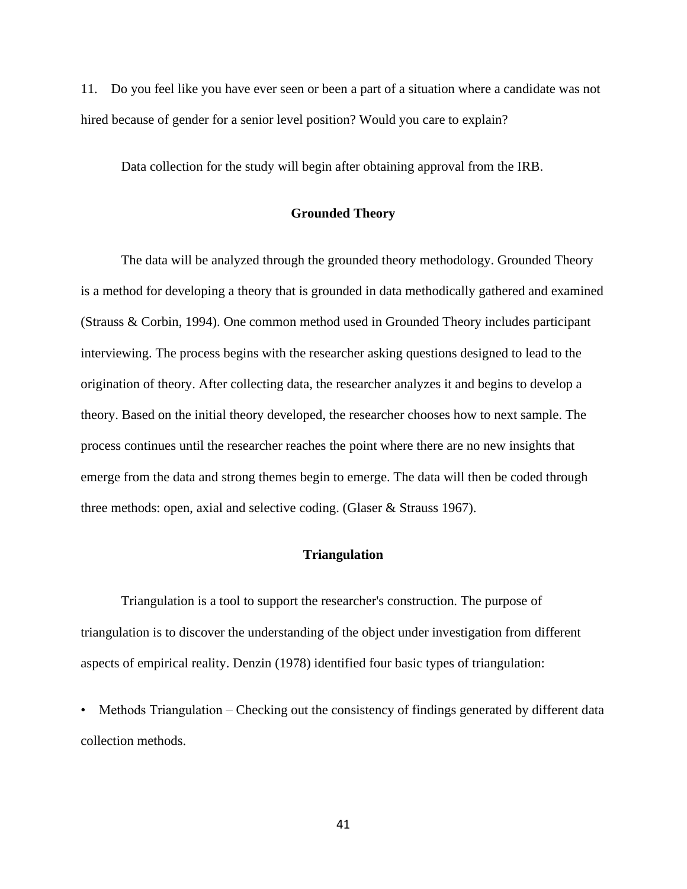11. Do you feel like you have ever seen or been a part of a situation where a candidate was not hired because of gender for a senior level position? Would you care to explain?

Data collection for the study will begin after obtaining approval from the IRB.

# **Grounded Theory**

The data will be analyzed through the grounded theory methodology. Grounded Theory is a method for developing a theory that is grounded in data methodically gathered and examined (Strauss & Corbin, 1994). One common method used in Grounded Theory includes participant interviewing. The process begins with the researcher asking questions designed to lead to the origination of theory. After collecting data, the researcher analyzes it and begins to develop a theory. Based on the initial theory developed, the researcher chooses how to next sample. The process continues until the researcher reaches the point where there are no new insights that emerge from the data and strong themes begin to emerge. The data will then be coded through three methods: open, axial and selective coding. (Glaser & Strauss 1967).

# **Triangulation**

Triangulation is a tool to support the researcher's construction. The purpose of triangulation is to discover the understanding of the object under investigation from different aspects of empirical reality. Denzin (1978) identified four basic types of triangulation:

• Methods Triangulation – Checking out the consistency of findings generated by different data collection methods.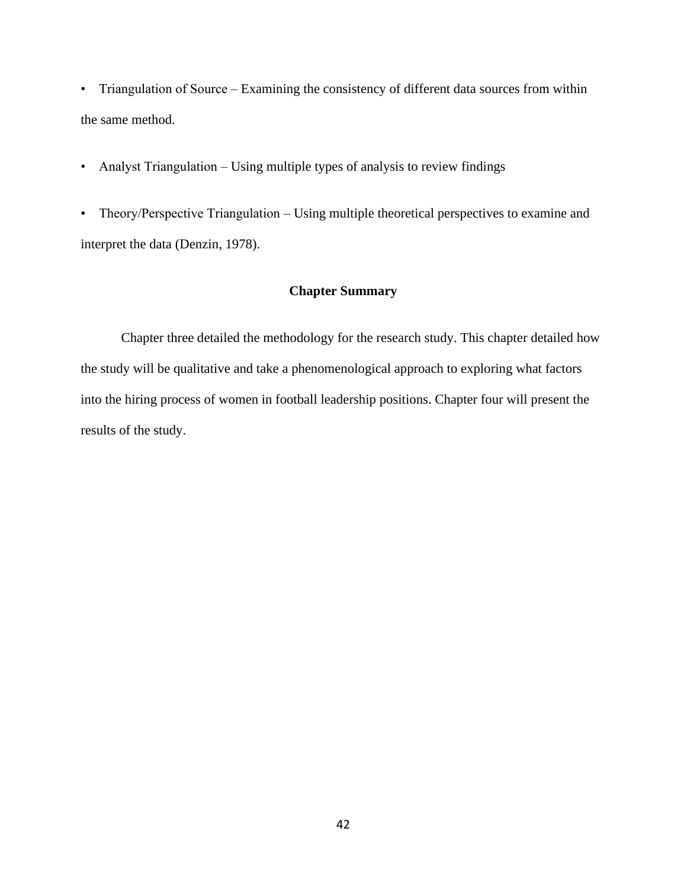• Triangulation of Source – Examining the consistency of different data sources from within the same method.

• Analyst Triangulation – Using multiple types of analysis to review findings

• Theory/Perspective Triangulation – Using multiple theoretical perspectives to examine and interpret the data (Denzin, 1978).

# **Chapter Summary**

Chapter three detailed the methodology for the research study. This chapter detailed how the study will be qualitative and take a phenomenological approach to exploring what factors into the hiring process of women in football leadership positions. Chapter four will present the results of the study.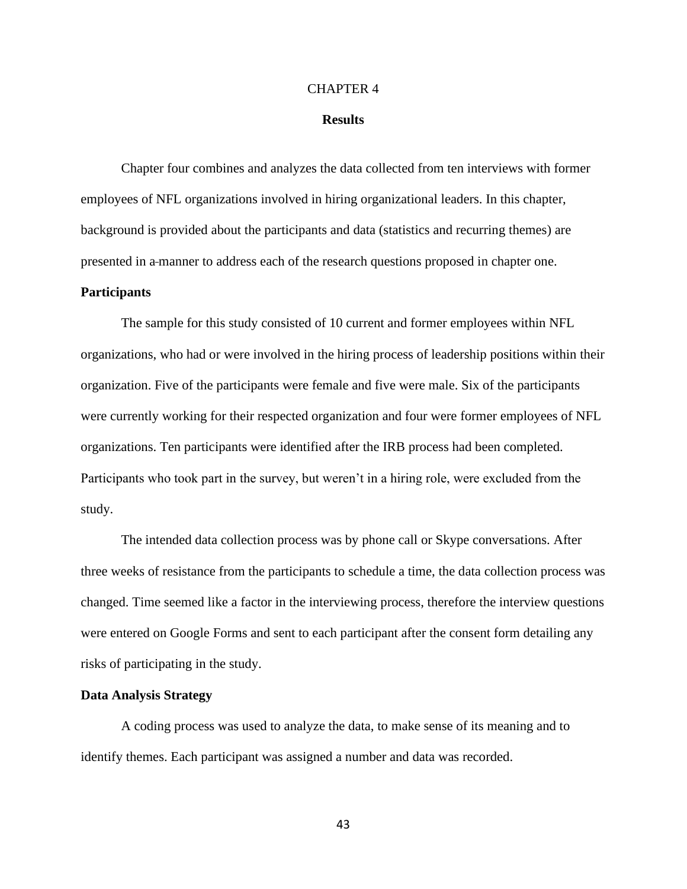#### CHAPTER 4

#### **Results**

Chapter four combines and analyzes the data collected from ten interviews with former employees of NFL organizations involved in hiring organizational leaders. In this chapter, background is provided about the participants and data (statistics and recurring themes) are presented in a manner to address each of the research questions proposed in chapter one.

# **Participants**

The sample for this study consisted of 10 current and former employees within NFL organizations, who had or were involved in the hiring process of leadership positions within their organization. Five of the participants were female and five were male. Six of the participants were currently working for their respected organization and four were former employees of NFL organizations. Ten participants were identified after the IRB process had been completed. Participants who took part in the survey, but weren't in a hiring role, were excluded from the study.

The intended data collection process was by phone call or Skype conversations. After three weeks of resistance from the participants to schedule a time, the data collection process was changed. Time seemed like a factor in the interviewing process, therefore the interview questions were entered on Google Forms and sent to each participant after the consent form detailing any risks of participating in the study.

#### **Data Analysis Strategy**

A coding process was used to analyze the data, to make sense of its meaning and to identify themes. Each participant was assigned a number and data was recorded.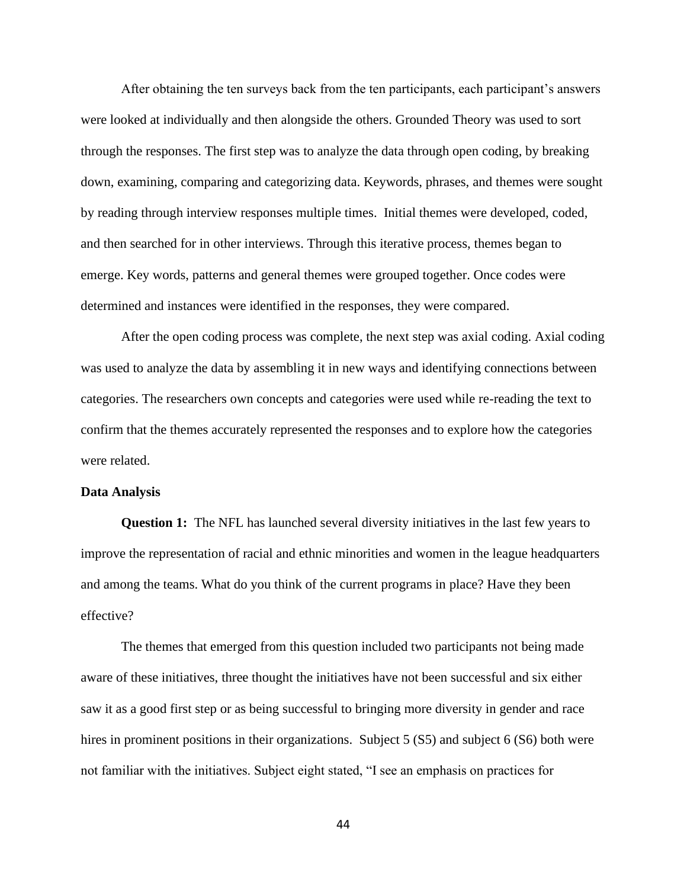After obtaining the ten surveys back from the ten participants, each participant's answers were looked at individually and then alongside the others. Grounded Theory was used to sort through the responses. The first step was to analyze the data through open coding, by breaking down, examining, comparing and categorizing data. Keywords, phrases, and themes were sought by reading through interview responses multiple times. Initial themes were developed, coded, and then searched for in other interviews. Through this iterative process, themes began to emerge. Key words, patterns and general themes were grouped together. Once codes were determined and instances were identified in the responses, they were compared.

After the open coding process was complete, the next step was axial coding. Axial coding was used to analyze the data by assembling it in new ways and identifying connections between categories. The researchers own concepts and categories were used while re-reading the text to confirm that the themes accurately represented the responses and to explore how the categories were related.

#### **Data Analysis**

**Question 1:** The NFL has launched several diversity initiatives in the last few years to improve the representation of racial and ethnic minorities and women in the league headquarters and among the teams. What do you think of the current programs in place? Have they been effective?

The themes that emerged from this question included two participants not being made aware of these initiatives, three thought the initiatives have not been successful and six either saw it as a good first step or as being successful to bringing more diversity in gender and race hires in prominent positions in their organizations. Subject 5 (S5) and subject 6 (S6) both were not familiar with the initiatives. Subject eight stated, "I see an emphasis on practices for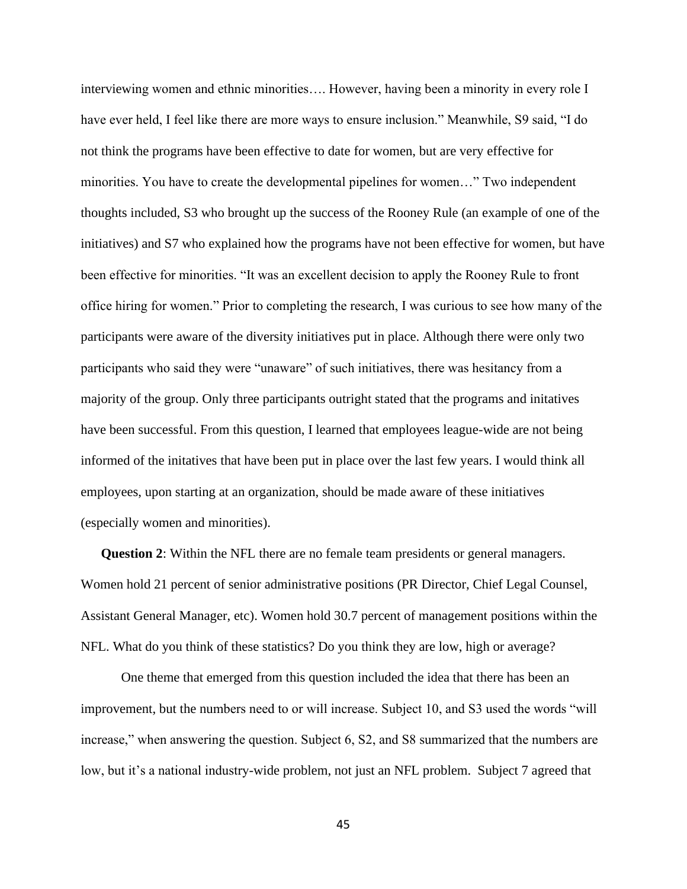interviewing women and ethnic minorities…. However, having been a minority in every role I have ever held, I feel like there are more ways to ensure inclusion." Meanwhile, S9 said, "I do not think the programs have been effective to date for women, but are very effective for minorities. You have to create the developmental pipelines for women…" Two independent thoughts included, S3 who brought up the success of the Rooney Rule (an example of one of the initiatives) and S7 who explained how the programs have not been effective for women, but have been effective for minorities. "It was an excellent decision to apply the Rooney Rule to front office hiring for women." Prior to completing the research, I was curious to see how many of the participants were aware of the diversity initiatives put in place. Although there were only two participants who said they were "unaware" of such initiatives, there was hesitancy from a majority of the group. Only three participants outright stated that the programs and initatives have been successful. From this question, I learned that employees league-wide are not being informed of the initatives that have been put in place over the last few years. I would think all employees, upon starting at an organization, should be made aware of these initiatives (especially women and minorities).

**Question 2**: Within the NFL there are no female team presidents or general managers. Women hold 21 percent of senior administrative positions (PR Director, Chief Legal Counsel, Assistant General Manager, etc). Women hold 30.7 percent of management positions within the NFL. What do you think of these statistics? Do you think they are low, high or average?

One theme that emerged from this question included the idea that there has been an improvement, but the numbers need to or will increase. Subject 10, and S3 used the words "will increase," when answering the question. Subject 6, S2, and S8 summarized that the numbers are low, but it's a national industry-wide problem, not just an NFL problem. Subject 7 agreed that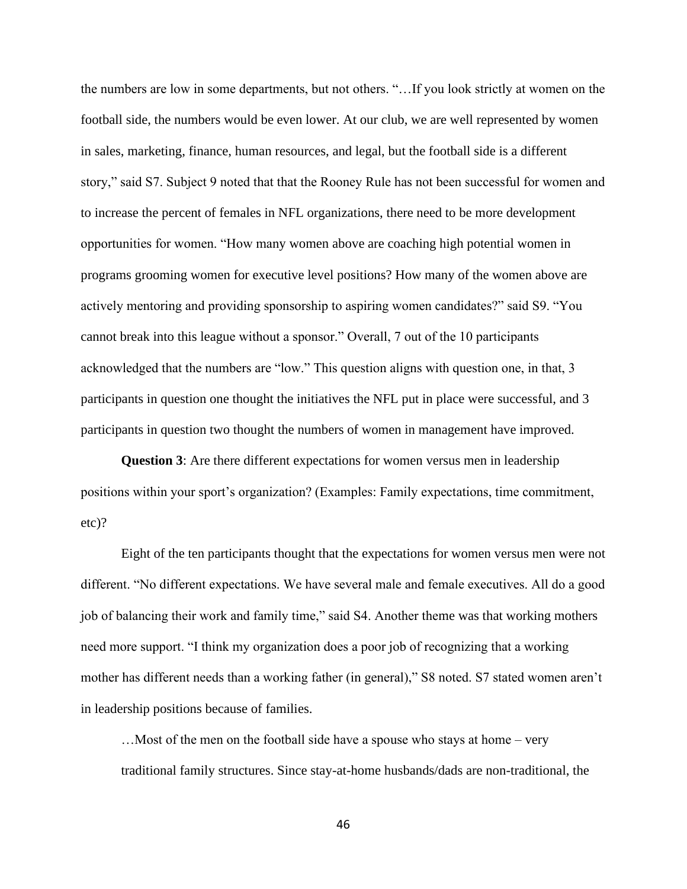the numbers are low in some departments, but not others. "…If you look strictly at women on the football side, the numbers would be even lower. At our club, we are well represented by women in sales, marketing, finance, human resources, and legal, but the football side is a different story," said S7. Subject 9 noted that that the Rooney Rule has not been successful for women and to increase the percent of females in NFL organizations, there need to be more development opportunities for women. "How many women above are coaching high potential women in programs grooming women for executive level positions? How many of the women above are actively mentoring and providing sponsorship to aspiring women candidates?" said S9. "You cannot break into this league without a sponsor." Overall, 7 out of the 10 participants acknowledged that the numbers are "low." This question aligns with question one, in that, 3 participants in question one thought the initiatives the NFL put in place were successful, and 3 participants in question two thought the numbers of women in management have improved.

**Question 3**: Are there different expectations for women versus men in leadership positions within your sport's organization? (Examples: Family expectations, time commitment, etc)?

Eight of the ten participants thought that the expectations for women versus men were not different. "No different expectations. We have several male and female executives. All do a good job of balancing their work and family time," said S4. Another theme was that working mothers need more support. "I think my organization does a poor job of recognizing that a working mother has different needs than a working father (in general)," S8 noted. S7 stated women aren't in leadership positions because of families.

…Most of the men on the football side have a spouse who stays at home – very traditional family structures. Since stay-at-home husbands/dads are non-traditional, the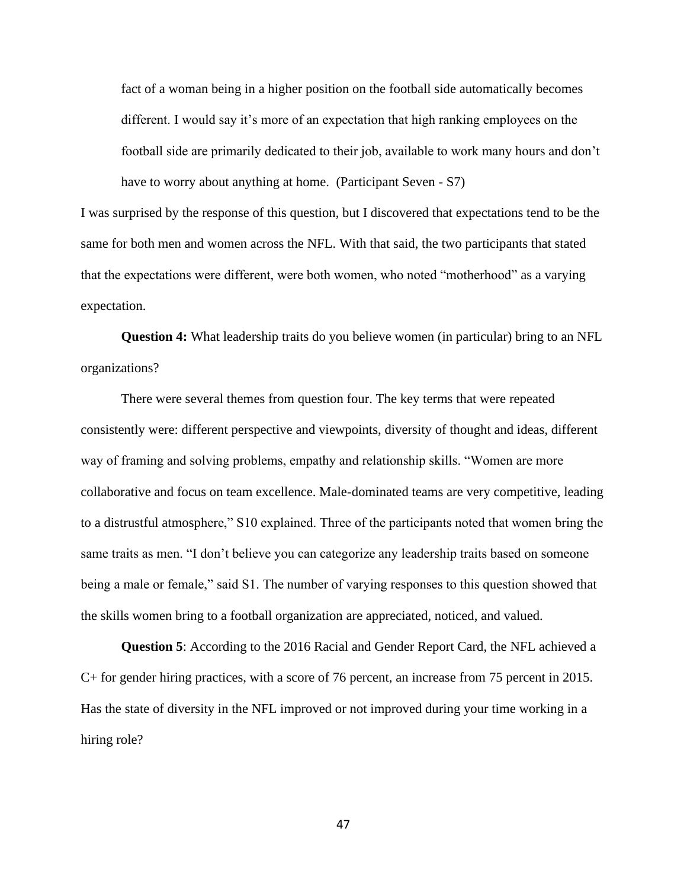fact of a woman being in a higher position on the football side automatically becomes different. I would say it's more of an expectation that high ranking employees on the football side are primarily dedicated to their job, available to work many hours and don't have to worry about anything at home. (Participant Seven - S7)

I was surprised by the response of this question, but I discovered that expectations tend to be the same for both men and women across the NFL. With that said, the two participants that stated that the expectations were different, were both women, who noted "motherhood" as a varying expectation.

**Question 4:** What leadership traits do you believe women (in particular) bring to an NFL organizations?

There were several themes from question four. The key terms that were repeated consistently were: different perspective and viewpoints, diversity of thought and ideas, different way of framing and solving problems, empathy and relationship skills. "Women are more collaborative and focus on team excellence. Male-dominated teams are very competitive, leading to a distrustful atmosphere," S10 explained. Three of the participants noted that women bring the same traits as men. "I don't believe you can categorize any leadership traits based on someone being a male or female," said S1. The number of varying responses to this question showed that the skills women bring to a football organization are appreciated, noticed, and valued.

**Question 5**: According to the 2016 Racial and Gender Report Card, the NFL achieved a C+ for gender hiring practices, with a score of 76 percent, an increase from 75 percent in 2015. Has the state of diversity in the NFL improved or not improved during your time working in a hiring role?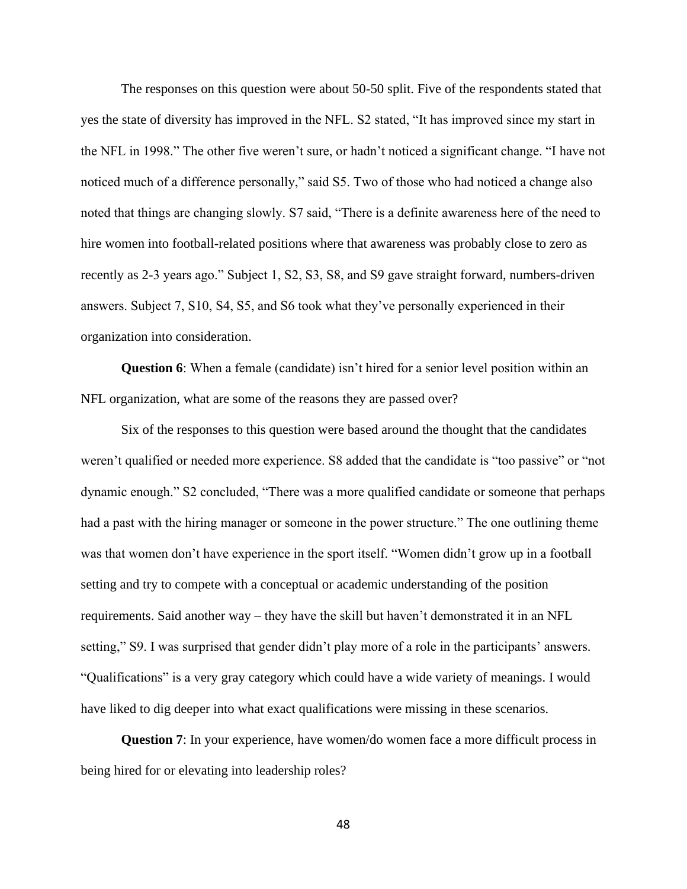The responses on this question were about 50-50 split. Five of the respondents stated that yes the state of diversity has improved in the NFL. S2 stated, "It has improved since my start in the NFL in 1998." The other five weren't sure, or hadn't noticed a significant change. "I have not noticed much of a difference personally," said S5. Two of those who had noticed a change also noted that things are changing slowly. S7 said, "There is a definite awareness here of the need to hire women into football-related positions where that awareness was probably close to zero as recently as 2-3 years ago." Subject 1, S2, S3, S8, and S9 gave straight forward, numbers-driven answers. Subject 7, S10, S4, S5, and S6 took what they've personally experienced in their organization into consideration.

**Question 6**: When a female (candidate) isn't hired for a senior level position within an NFL organization, what are some of the reasons they are passed over?

Six of the responses to this question were based around the thought that the candidates weren't qualified or needed more experience. S8 added that the candidate is "too passive" or "not dynamic enough." S2 concluded, "There was a more qualified candidate or someone that perhaps had a past with the hiring manager or someone in the power structure." The one outlining theme was that women don't have experience in the sport itself. "Women didn't grow up in a football setting and try to compete with a conceptual or academic understanding of the position requirements. Said another way – they have the skill but haven't demonstrated it in an NFL setting," S9. I was surprised that gender didn't play more of a role in the participants' answers. "Qualifications" is a very gray category which could have a wide variety of meanings. I would have liked to dig deeper into what exact qualifications were missing in these scenarios.

**Question 7**: In your experience, have women/do women face a more difficult process in being hired for or elevating into leadership roles?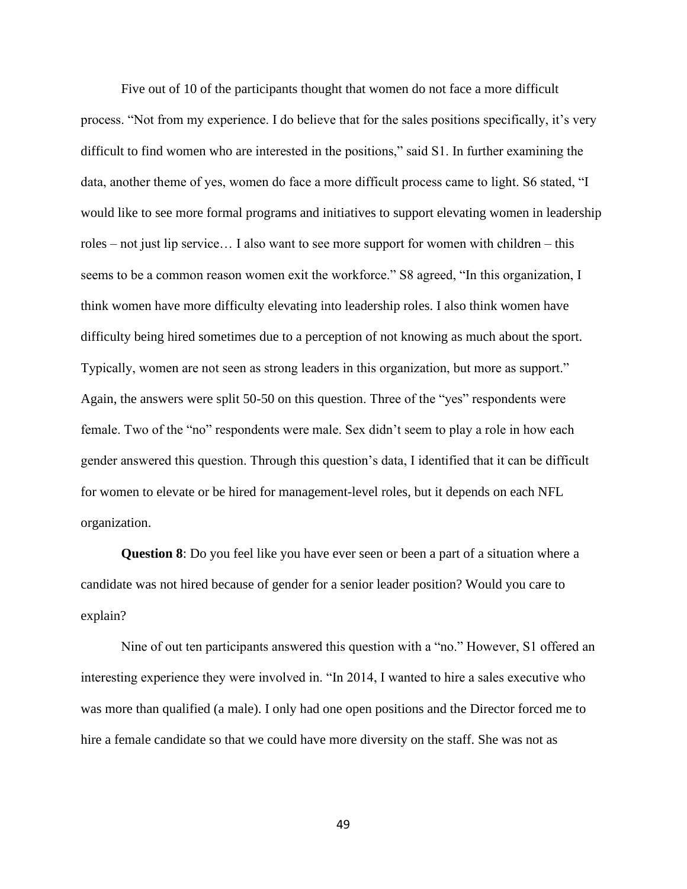Five out of 10 of the participants thought that women do not face a more difficult process. "Not from my experience. I do believe that for the sales positions specifically, it's very difficult to find women who are interested in the positions," said S1. In further examining the data, another theme of yes, women do face a more difficult process came to light. S6 stated, "I would like to see more formal programs and initiatives to support elevating women in leadership roles – not just lip service… I also want to see more support for women with children – this seems to be a common reason women exit the workforce." S8 agreed, "In this organization, I think women have more difficulty elevating into leadership roles. I also think women have difficulty being hired sometimes due to a perception of not knowing as much about the sport. Typically, women are not seen as strong leaders in this organization, but more as support." Again, the answers were split 50-50 on this question. Three of the "yes" respondents were female. Two of the "no" respondents were male. Sex didn't seem to play a role in how each gender answered this question. Through this question's data, I identified that it can be difficult for women to elevate or be hired for management-level roles, but it depends on each NFL organization.

**Question 8**: Do you feel like you have ever seen or been a part of a situation where a candidate was not hired because of gender for a senior leader position? Would you care to explain?

Nine of out ten participants answered this question with a "no." However, S1 offered an interesting experience they were involved in. "In 2014, I wanted to hire a sales executive who was more than qualified (a male). I only had one open positions and the Director forced me to hire a female candidate so that we could have more diversity on the staff. She was not as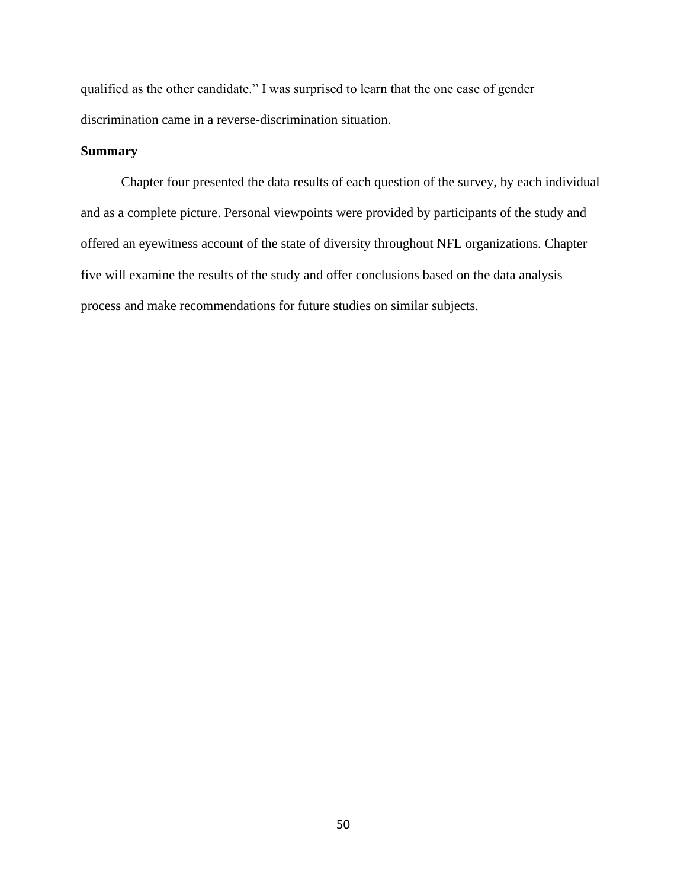qualified as the other candidate." I was surprised to learn that the one case of gender discrimination came in a reverse-discrimination situation.

# **Summary**

Chapter four presented the data results of each question of the survey, by each individual and as a complete picture. Personal viewpoints were provided by participants of the study and offered an eyewitness account of the state of diversity throughout NFL organizations. Chapter five will examine the results of the study and offer conclusions based on the data analysis process and make recommendations for future studies on similar subjects.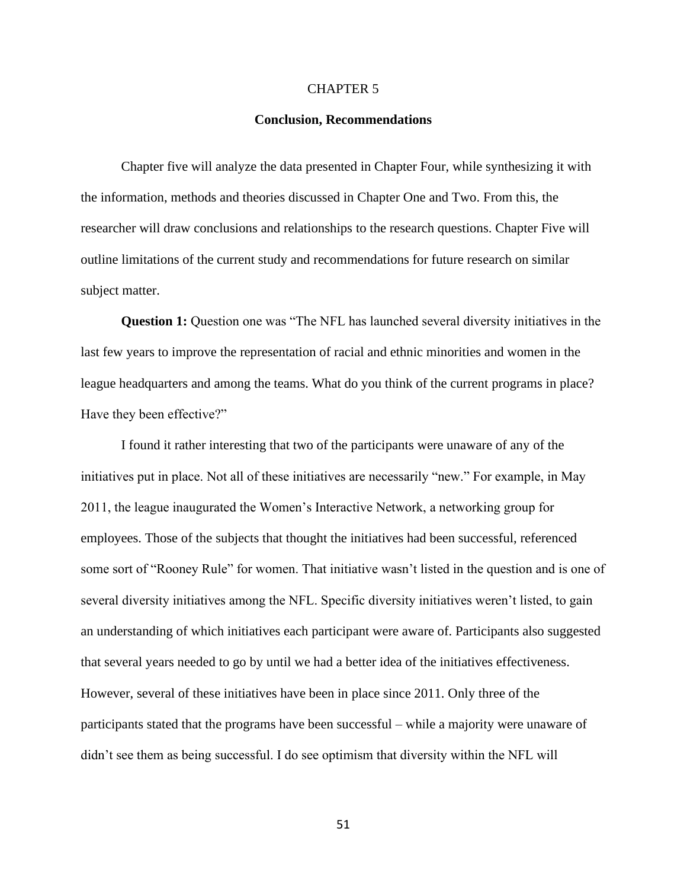#### CHAPTER 5

#### **Conclusion, Recommendations**

Chapter five will analyze the data presented in Chapter Four, while synthesizing it with the information, methods and theories discussed in Chapter One and Two. From this, the researcher will draw conclusions and relationships to the research questions. Chapter Five will outline limitations of the current study and recommendations for future research on similar subject matter.

**Question 1:** Question one was "The NFL has launched several diversity initiatives in the last few years to improve the representation of racial and ethnic minorities and women in the league headquarters and among the teams. What do you think of the current programs in place? Have they been effective?"

I found it rather interesting that two of the participants were unaware of any of the initiatives put in place. Not all of these initiatives are necessarily "new." For example, in May 2011, the league inaugurated the Women's Interactive Network, a networking group for employees. Those of the subjects that thought the initiatives had been successful, referenced some sort of "Rooney Rule" for women. That initiative wasn't listed in the question and is one of several diversity initiatives among the NFL. Specific diversity initiatives weren't listed, to gain an understanding of which initiatives each participant were aware of. Participants also suggested that several years needed to go by until we had a better idea of the initiatives effectiveness. However, several of these initiatives have been in place since 2011. Only three of the participants stated that the programs have been successful – while a majority were unaware of didn't see them as being successful. I do see optimism that diversity within the NFL will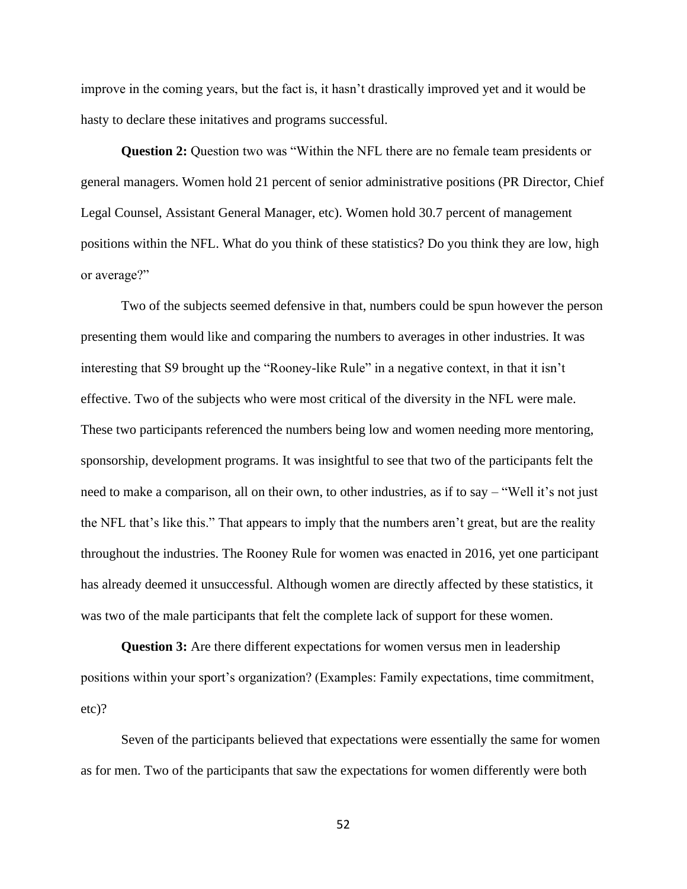improve in the coming years, but the fact is, it hasn't drastically improved yet and it would be hasty to declare these initatives and programs successful.

**Question 2:** Question two was "Within the NFL there are no female team presidents or general managers. Women hold 21 percent of senior administrative positions (PR Director, Chief Legal Counsel, Assistant General Manager, etc). Women hold 30.7 percent of management positions within the NFL. What do you think of these statistics? Do you think they are low, high or average?"

Two of the subjects seemed defensive in that, numbers could be spun however the person presenting them would like and comparing the numbers to averages in other industries. It was interesting that S9 brought up the "Rooney-like Rule" in a negative context, in that it isn't effective. Two of the subjects who were most critical of the diversity in the NFL were male. These two participants referenced the numbers being low and women needing more mentoring, sponsorship, development programs. It was insightful to see that two of the participants felt the need to make a comparison, all on their own, to other industries, as if to say – "Well it's not just the NFL that's like this." That appears to imply that the numbers aren't great, but are the reality throughout the industries. The Rooney Rule for women was enacted in 2016, yet one participant has already deemed it unsuccessful. Although women are directly affected by these statistics, it was two of the male participants that felt the complete lack of support for these women.

**Question 3:** Are there different expectations for women versus men in leadership positions within your sport's organization? (Examples: Family expectations, time commitment, etc)?

Seven of the participants believed that expectations were essentially the same for women as for men. Two of the participants that saw the expectations for women differently were both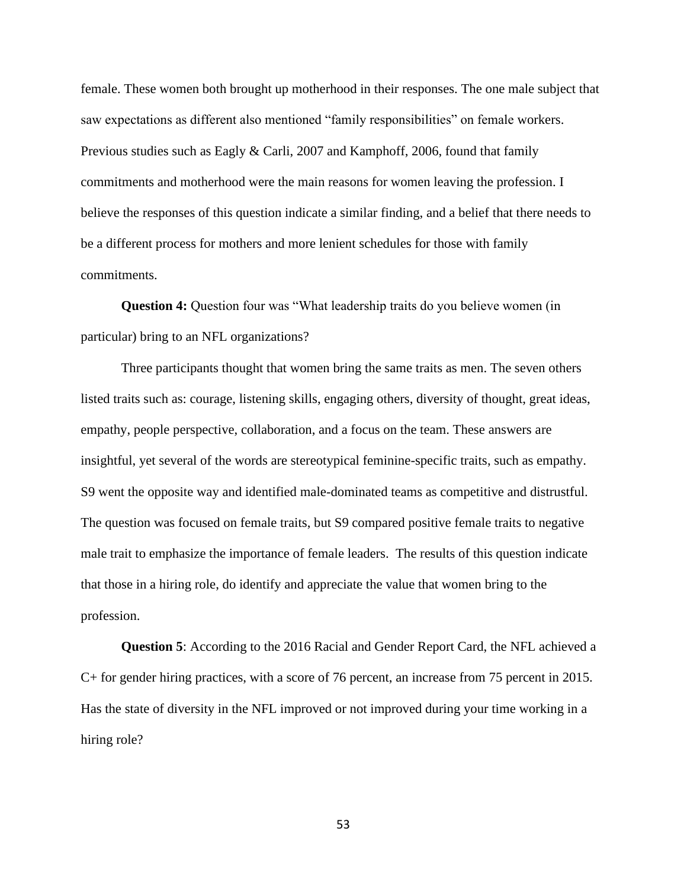female. These women both brought up motherhood in their responses. The one male subject that saw expectations as different also mentioned "family responsibilities" on female workers. Previous studies such as Eagly & Carli, 2007 and Kamphoff, 2006, found that family commitments and motherhood were the main reasons for women leaving the profession. I believe the responses of this question indicate a similar finding, and a belief that there needs to be a different process for mothers and more lenient schedules for those with family commitments.

**Question 4:** Question four was "What leadership traits do you believe women (in particular) bring to an NFL organizations?

Three participants thought that women bring the same traits as men. The seven others listed traits such as: courage, listening skills, engaging others, diversity of thought, great ideas, empathy, people perspective, collaboration, and a focus on the team. These answers are insightful, yet several of the words are stereotypical feminine-specific traits, such as empathy. S9 went the opposite way and identified male-dominated teams as competitive and distrustful. The question was focused on female traits, but S9 compared positive female traits to negative male trait to emphasize the importance of female leaders. The results of this question indicate that those in a hiring role, do identify and appreciate the value that women bring to the profession.

**Question 5**: According to the 2016 Racial and Gender Report Card, the NFL achieved a C+ for gender hiring practices, with a score of 76 percent, an increase from 75 percent in 2015. Has the state of diversity in the NFL improved or not improved during your time working in a hiring role?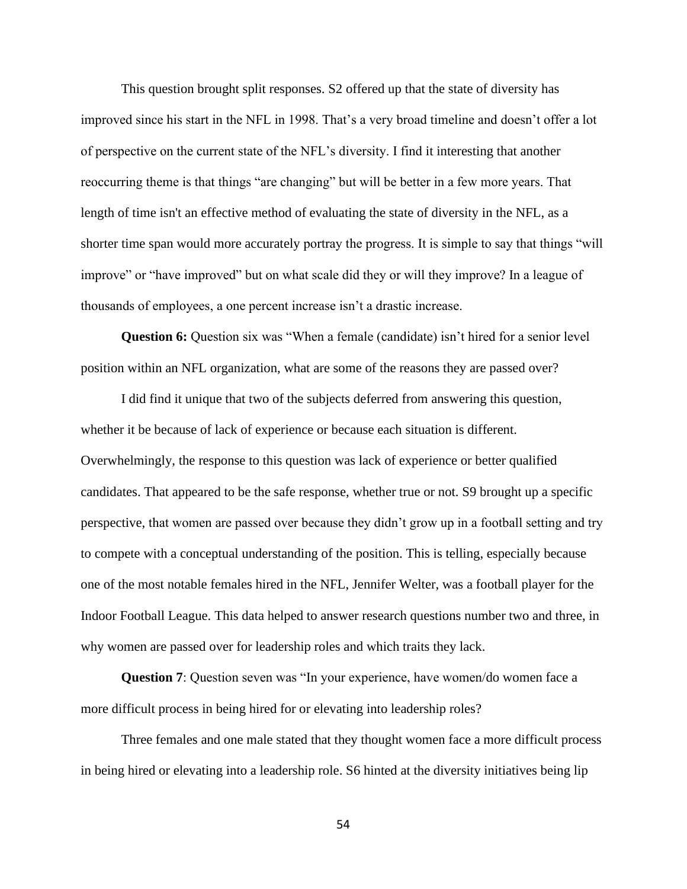This question brought split responses. S2 offered up that the state of diversity has improved since his start in the NFL in 1998. That's a very broad timeline and doesn't offer a lot of perspective on the current state of the NFL's diversity. I find it interesting that another reoccurring theme is that things "are changing" but will be better in a few more years. That length of time isn't an effective method of evaluating the state of diversity in the NFL, as a shorter time span would more accurately portray the progress. It is simple to say that things "will improve" or "have improved" but on what scale did they or will they improve? In a league of thousands of employees, a one percent increase isn't a drastic increase.

**Question 6:** Question six was "When a female (candidate) isn't hired for a senior level position within an NFL organization, what are some of the reasons they are passed over?

I did find it unique that two of the subjects deferred from answering this question, whether it be because of lack of experience or because each situation is different. Overwhelmingly, the response to this question was lack of experience or better qualified candidates. That appeared to be the safe response, whether true or not. S9 brought up a specific perspective, that women are passed over because they didn't grow up in a football setting and try to compete with a conceptual understanding of the position. This is telling, especially because one of the most notable females hired in the NFL, Jennifer Welter, was a football player for the Indoor Football League. This data helped to answer research questions number two and three, in why women are passed over for leadership roles and which traits they lack.

**Question 7**: Question seven was "In your experience, have women/do women face a more difficult process in being hired for or elevating into leadership roles?

Three females and one male stated that they thought women face a more difficult process in being hired or elevating into a leadership role. S6 hinted at the diversity initiatives being lip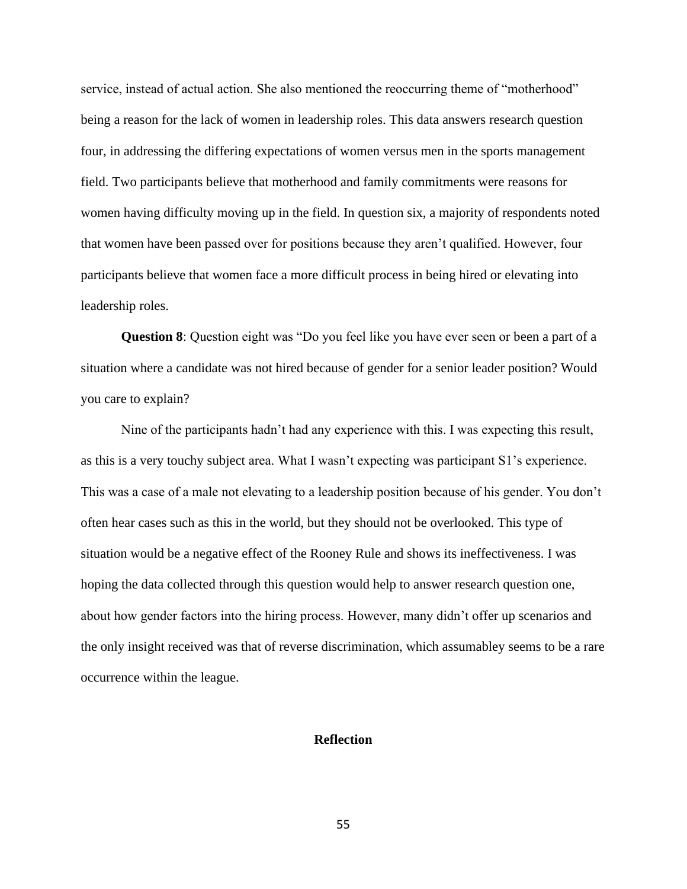service, instead of actual action. She also mentioned the reoccurring theme of "motherhood" being a reason for the lack of women in leadership roles. This data answers research question four, in addressing the differing expectations of women versus men in the sports management field. Two participants believe that motherhood and family commitments were reasons for women having difficulty moving up in the field. In question six, a majority of respondents noted that women have been passed over for positions because they aren't qualified. However, four participants believe that women face a more difficult process in being hired or elevating into leadership roles.

**Question 8**: Question eight was "Do you feel like you have ever seen or been a part of a situation where a candidate was not hired because of gender for a senior leader position? Would you care to explain?

Nine of the participants hadn't had any experience with this. I was expecting this result, as this is a very touchy subject area. What I wasn't expecting was participant S1's experience. This was a case of a male not elevating to a leadership position because of his gender. You don't often hear cases such as this in the world, but they should not be overlooked. This type of situation would be a negative effect of the Rooney Rule and shows its ineffectiveness. I was hoping the data collected through this question would help to answer research question one, about how gender factors into the hiring process. However, many didn't offer up scenarios and the only insight received was that of reverse discrimination, which assumabley seems to be a rare occurrence within the league.

# **Reflection**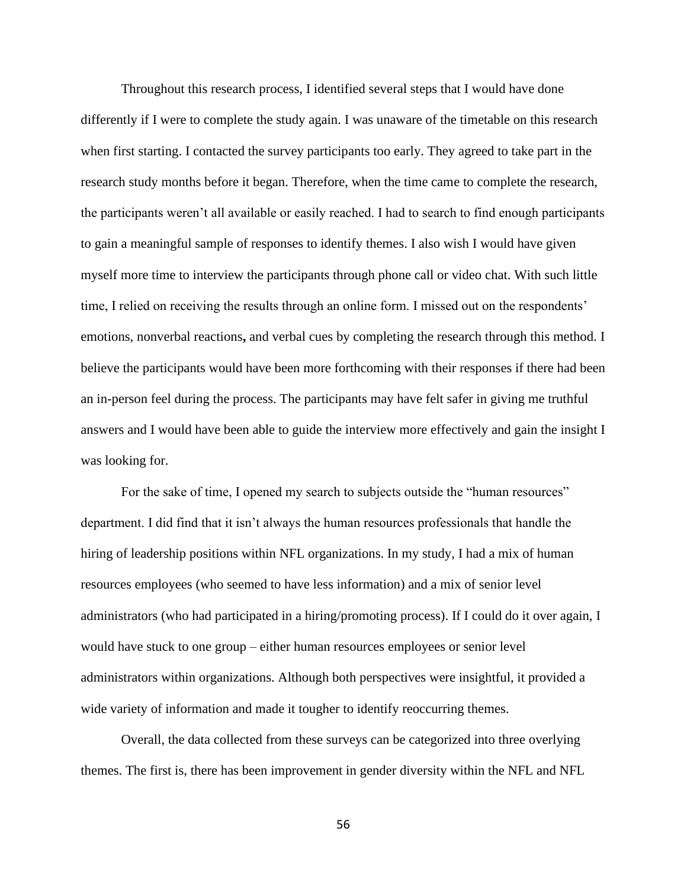Throughout this research process, I identified several steps that I would have done differently if I were to complete the study again. I was unaware of the timetable on this research when first starting. I contacted the survey participants too early. They agreed to take part in the research study months before it began. Therefore, when the time came to complete the research, the participants weren't all available or easily reached. I had to search to find enough participants to gain a meaningful sample of responses to identify themes. I also wish I would have given myself more time to interview the participants through phone call or video chat. With such little time, I relied on receiving the results through an online form. I missed out on the respondents' emotions, nonverbal reactions**,** and verbal cues by completing the research through this method. I believe the participants would have been more forthcoming with their responses if there had been an in-person feel during the process. The participants may have felt safer in giving me truthful answers and I would have been able to guide the interview more effectively and gain the insight I was looking for.

For the sake of time, I opened my search to subjects outside the "human resources" department. I did find that it isn't always the human resources professionals that handle the hiring of leadership positions within NFL organizations. In my study, I had a mix of human resources employees (who seemed to have less information) and a mix of senior level administrators (who had participated in a hiring/promoting process). If I could do it over again, I would have stuck to one group – either human resources employees or senior level administrators within organizations. Although both perspectives were insightful, it provided a wide variety of information and made it tougher to identify reoccurring themes.

Overall, the data collected from these surveys can be categorized into three overlying themes. The first is, there has been improvement in gender diversity within the NFL and NFL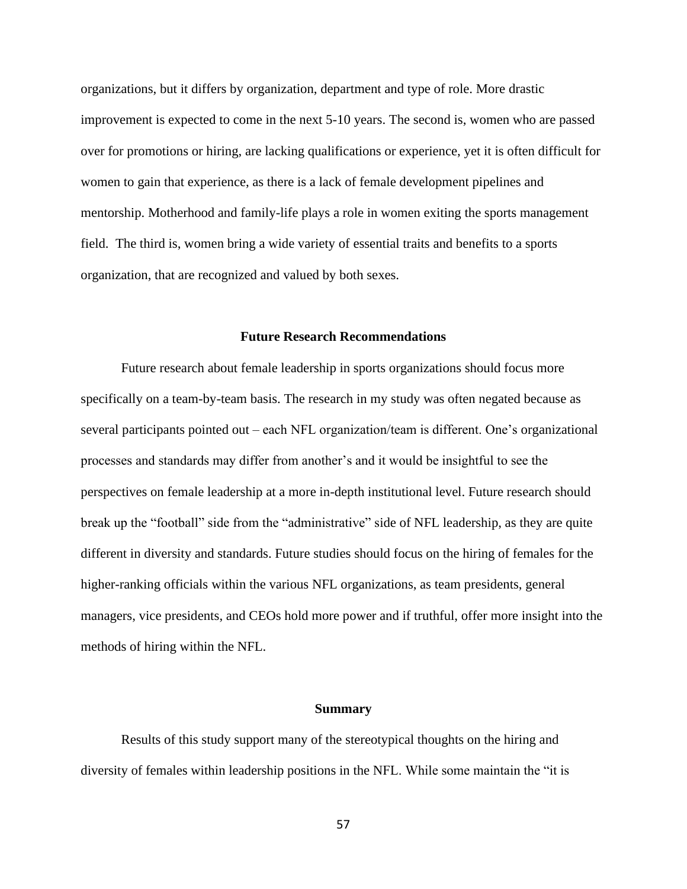organizations, but it differs by organization, department and type of role. More drastic improvement is expected to come in the next 5-10 years. The second is, women who are passed over for promotions or hiring, are lacking qualifications or experience, yet it is often difficult for women to gain that experience, as there is a lack of female development pipelines and mentorship. Motherhood and family-life plays a role in women exiting the sports management field. The third is, women bring a wide variety of essential traits and benefits to a sports organization, that are recognized and valued by both sexes.

#### **Future Research Recommendations**

Future research about female leadership in sports organizations should focus more specifically on a team-by-team basis. The research in my study was often negated because as several participants pointed out – each NFL organization/team is different. One's organizational processes and standards may differ from another's and it would be insightful to see the perspectives on female leadership at a more in-depth institutional level. Future research should break up the "football" side from the "administrative" side of NFL leadership, as they are quite different in diversity and standards. Future studies should focus on the hiring of females for the higher-ranking officials within the various NFL organizations, as team presidents, general managers, vice presidents, and CEOs hold more power and if truthful, offer more insight into the methods of hiring within the NFL.

#### **Summary**

Results of this study support many of the stereotypical thoughts on the hiring and diversity of females within leadership positions in the NFL. While some maintain the "it is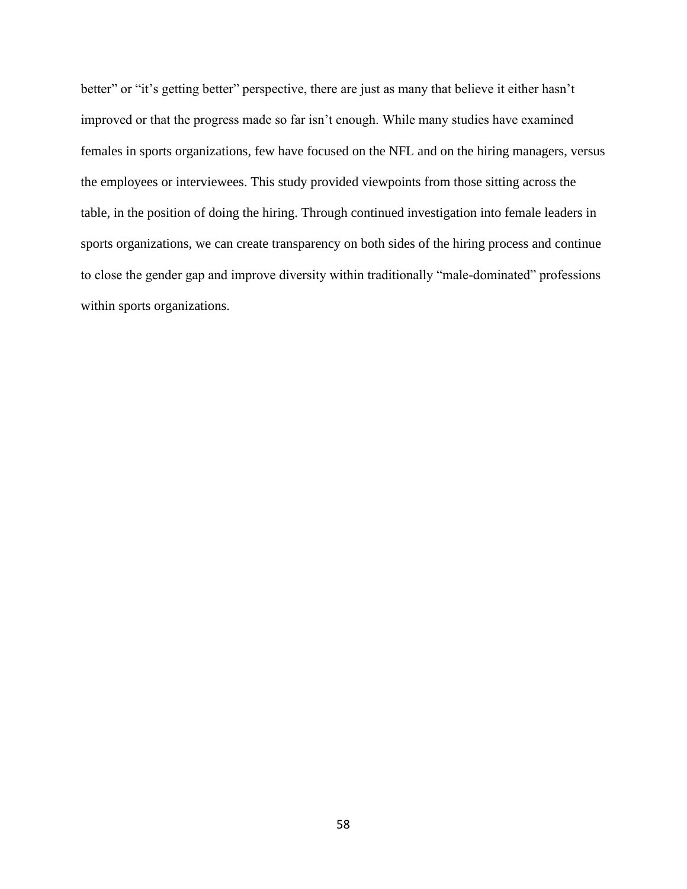better" or "it's getting better" perspective, there are just as many that believe it either hasn't improved or that the progress made so far isn't enough. While many studies have examined females in sports organizations, few have focused on the NFL and on the hiring managers, versus the employees or interviewees. This study provided viewpoints from those sitting across the table, in the position of doing the hiring. Through continued investigation into female leaders in sports organizations, we can create transparency on both sides of the hiring process and continue to close the gender gap and improve diversity within traditionally "male-dominated" professions within sports organizations.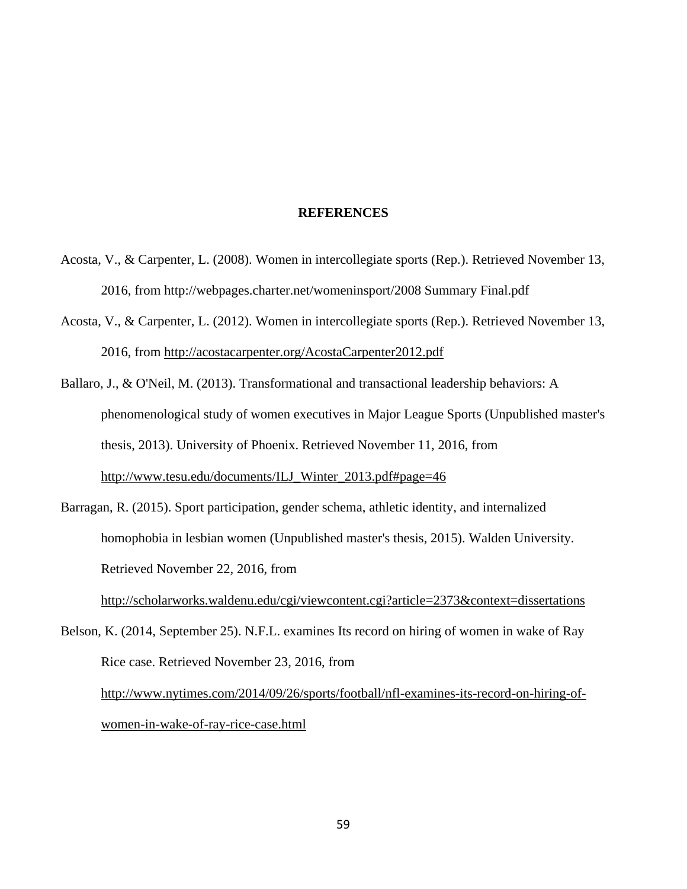#### **REFERENCES**

- Acosta, V., & Carpenter, L. (2008). Women in intercollegiate sports (Rep.). Retrieved November 13, 2016, from http://webpages.charter.net/womeninsport/2008 Summary Final.pdf
- Acosta, V., & Carpenter, L. (2012). Women in intercollegiate sports (Rep.). Retrieved November 13, 2016, from<http://acostacarpenter.org/AcostaCarpenter2012.pdf>
- Ballaro, J., & O'Neil, M. (2013). Transformational and transactional leadership behaviors: A phenomenological study of women executives in Major League Sports (Unpublished master's thesis, 2013). University of Phoenix. Retrieved November 11, 2016, from [http://www.tesu.edu/documents/ILJ\\_Winter\\_2013.pdf#page=46](http://www.tesu.edu/documents/ILJ_Winter_2013.pdf#page=46)
- Barragan, R. (2015). Sport participation, gender schema, athletic identity, and internalized homophobia in lesbian women (Unpublished master's thesis, 2015). Walden University. Retrieved November 22, 2016, from <http://scholarworks.waldenu.edu/cgi/viewcontent.cgi?article=2373&context=dissertations>

Belson, K. (2014, September 25). N.F.L. examines Its record on hiring of women in wake of Ray Rice case. Retrieved November 23, 2016, from [http://www.nytimes.com/2014/09/26/sports/football/nfl-examines-its-record-on-hiring-of](http://www.nytimes.com/2014/09/26/sports/football/nfl-examines-its-record-on-hiring-of-women-in-wake-of-ray-rice-case.html)[women-in-wake-of-ray-rice-case.html](http://www.nytimes.com/2014/09/26/sports/football/nfl-examines-its-record-on-hiring-of-women-in-wake-of-ray-rice-case.html)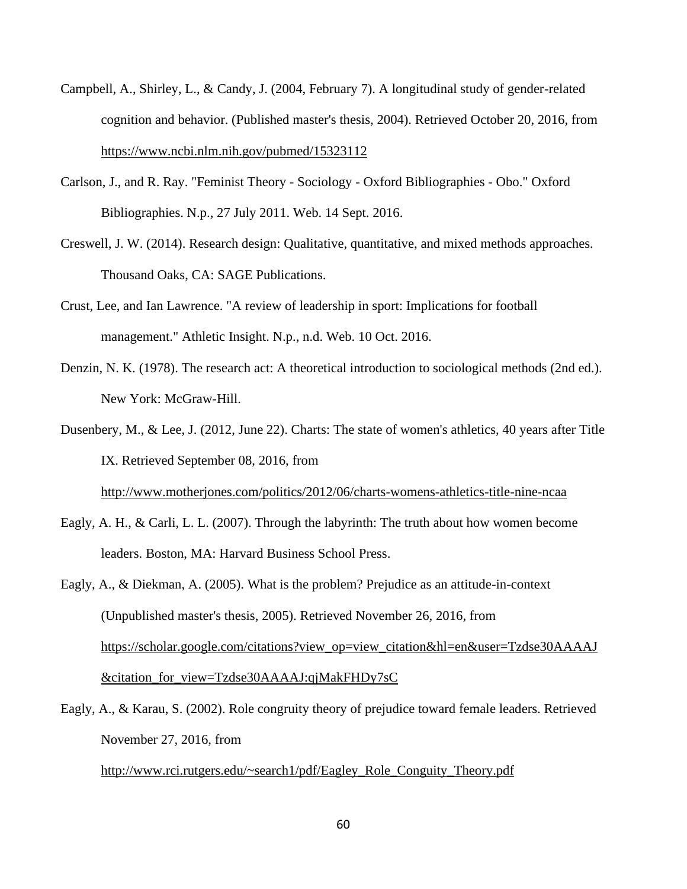- Campbell, A., Shirley, L., & Candy, J. (2004, February 7). A longitudinal study of gender-related cognition and behavior. (Published master's thesis, 2004). Retrieved October 20, 2016, from <https://www.ncbi.nlm.nih.gov/pubmed/15323112>
- Carlson, J., and R. Ray. "Feminist Theory Sociology Oxford Bibliographies Obo." Oxford Bibliographies. N.p., 27 July 2011. Web. 14 Sept. 2016.
- Creswell, J. W. (2014). Research design: Qualitative, quantitative, and mixed methods approaches. Thousand Oaks, CA: SAGE Publications.
- Crust, Lee, and Ian Lawrence. "A review of leadership in sport: Implications for football management." Athletic Insight. N.p., n.d. Web. 10 Oct. 2016.
- Denzin, N. K. (1978). The research act: A theoretical introduction to sociological methods (2nd ed.). New York: McGraw-Hill.
- Dusenbery, M., & Lee, J. (2012, June 22). Charts: The state of women's athletics, 40 years after Title IX. Retrieved September 08, 2016, from <http://www.motherjones.com/politics/2012/06/charts-womens-athletics-title-nine-ncaa>
- Eagly, A. H., & Carli, L. L. (2007). Through the labyrinth: The truth about how women become leaders. Boston, MA: Harvard Business School Press.
- Eagly, A., & Diekman, A. (2005). What is the problem? Prejudice as an attitude-in-context (Unpublished master's thesis, 2005). Retrieved November 26, 2016, from [https://scholar.google.com/citations?view\\_op=view\\_citation&hl=en&user=Tzdse30AAAAJ](https://scholar.google.com/citations?view_op=view_citation&hl=en&user=Tzdse30AAAAJ&citation_for_view=Tzdse30AAAAJ:qjMakFHDy7sC) [&citation\\_for\\_view=Tzdse30AAAAJ:qjMakFHDy7sC](https://scholar.google.com/citations?view_op=view_citation&hl=en&user=Tzdse30AAAAJ&citation_for_view=Tzdse30AAAAJ:qjMakFHDy7sC)
- Eagly, A., & Karau, S. (2002). Role congruity theory of prejudice toward female leaders. Retrieved November 27, 2016, from

[http://www.rci.rutgers.edu/~search1/pdf/Eagley\\_Role\\_Conguity\\_Theory.pdf](http://www.rci.rutgers.edu/~search1/pdf/Eagley_Role_Conguity_Theory.pdf)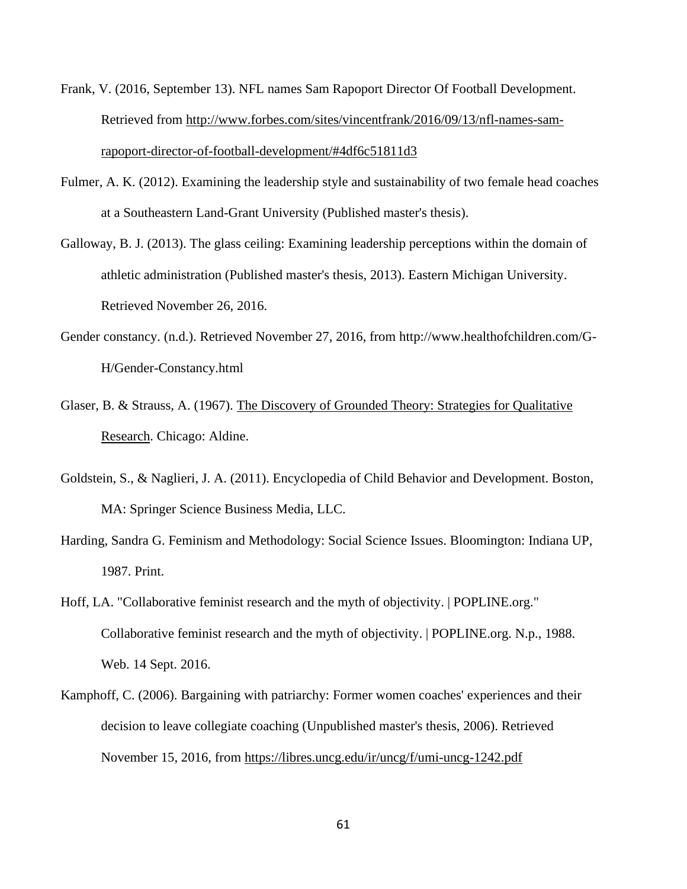- Frank, V. (2016, September 13). NFL names Sam Rapoport Director Of Football Development. Retrieved from [http://www.forbes.com/sites/vincentfrank/2016/09/13/nfl-names-sam](http://www.forbes.com/sites/vincentfrank/2016/09/13/nfl-names-sam-rapoport-director-of-football-development/#4df6c51811d3)[rapoport-director-of-football-development/#4df6c51811d3](http://www.forbes.com/sites/vincentfrank/2016/09/13/nfl-names-sam-rapoport-director-of-football-development/#4df6c51811d3)
- Fulmer, A. K. (2012). Examining the leadership style and sustainability of two female head coaches at a Southeastern Land-Grant University (Published master's thesis).
- Galloway, B. J. (2013). The glass ceiling: Examining leadership perceptions within the domain of athletic administration (Published master's thesis, 2013). Eastern Michigan University. Retrieved November 26, 2016.
- Gender constancy. (n.d.). Retrieved November 27, 2016, from http://www.healthofchildren.com/G-H/Gender-Constancy.html
- Glaser, B. & Strauss, A. (1967). [The Discovery of Grounded Theory: Strategies for Qualitative](http://www.qualres.org/The%20Discovery%20of%20Grounded%20Theory:%20Strategies%20for%20Qualitative%20Research)  [Research.](http://www.qualres.org/The%20Discovery%20of%20Grounded%20Theory:%20Strategies%20for%20Qualitative%20Research) Chicago: Aldine.
- Goldstein, S., & Naglieri, J. A. (2011). Encyclopedia of Child Behavior and Development. Boston, MA: Springer Science Business Media, LLC.
- Harding, Sandra G. Feminism and Methodology: Social Science Issues. Bloomington: Indiana UP, 1987. Print.
- Hoff, LA. "Collaborative feminist research and the myth of objectivity. | POPLINE.org." Collaborative feminist research and the myth of objectivity. | POPLINE.org. N.p., 1988. Web. 14 Sept. 2016.
- Kamphoff, C. (2006). Bargaining with patriarchy: Former women coaches' experiences and their decision to leave collegiate coaching (Unpublished master's thesis, 2006). Retrieved November 15, 2016, from<https://libres.uncg.edu/ir/uncg/f/umi-uncg-1242.pdf>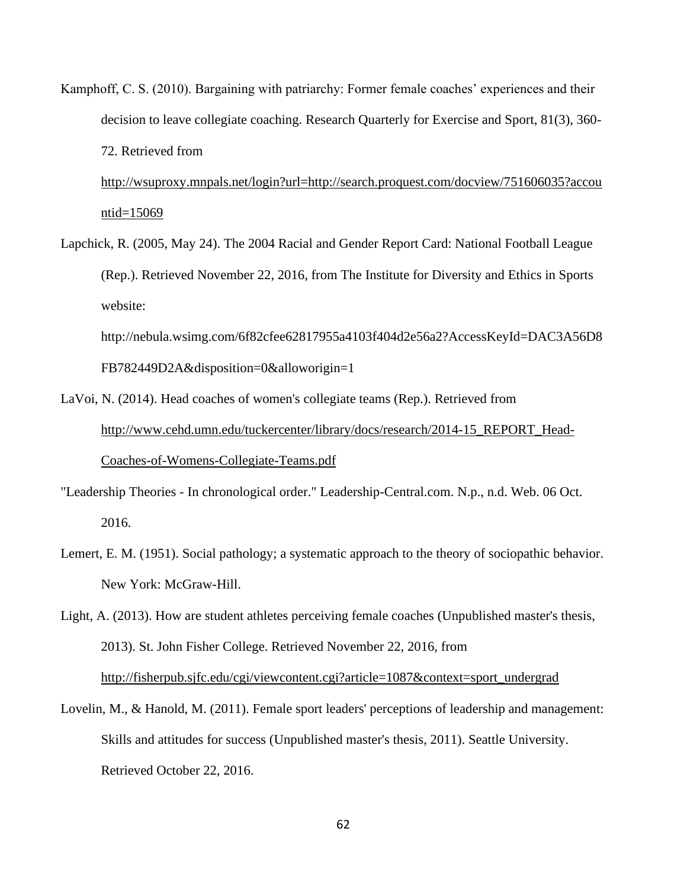Kamphoff, C. S. (2010). Bargaining with patriarchy: Former female coaches' experiences and their decision to leave collegiate coaching. Research Quarterly for Exercise and Sport, 81(3), 360- 72. Retrieved from

[http://wsuproxy.mnpals.net/login?url=http://search.proquest.com/docview/751606035?accou](http://wsuproxy.mnpals.net/login?url=http://search.proquest.com/docview/751606035?accountid=15069) [ntid=15069](http://wsuproxy.mnpals.net/login?url=http://search.proquest.com/docview/751606035?accountid=15069)

Lapchick, R. (2005, May 24). The 2004 Racial and Gender Report Card: National Football League (Rep.). Retrieved November 22, 2016, from The Institute for Diversity and Ethics in Sports website:

http://nebula.wsimg.com/6f82cfee62817955a4103f404d2e56a2?AccessKeyId=DAC3A56D8 FB782449D2A&disposition=0&alloworigin=1

- LaVoi, N. (2014). Head coaches of women's collegiate teams (Rep.). Retrieved from [http://www.cehd.umn.edu/tuckercenter/library/docs/research/2014-15\\_REPORT\\_Head-](http://www.cehd.umn.edu/tuckercenter/library/docs/research/2014-15_REPORT_Head-Coaches-of-Womens-Collegiate-Teams.pdf)[Coaches-of-Womens-Collegiate-Teams.pdf](http://www.cehd.umn.edu/tuckercenter/library/docs/research/2014-15_REPORT_Head-Coaches-of-Womens-Collegiate-Teams.pdf)
- "Leadership Theories In chronological order." Leadership-Central.com. N.p., n.d. Web. 06 Oct. 2016.
- Lemert, E. M. (1951). Social pathology; a systematic approach to the theory of sociopathic behavior. New York: McGraw-Hill.
- Light, A. (2013). How are student athletes perceiving female coaches (Unpublished master's thesis, 2013). St. John Fisher College. Retrieved November 22, 2016, from [http://fisherpub.sjfc.edu/cgi/viewcontent.cgi?article=1087&context=sport\\_undergrad](http://fisherpub.sjfc.edu/cgi/viewcontent.cgi?article=1087&context=sport_undergrad)
- Lovelin, M., & Hanold, M. (2011). Female sport leaders' perceptions of leadership and management: Skills and attitudes for success (Unpublished master's thesis, 2011). Seattle University. Retrieved October 22, 2016.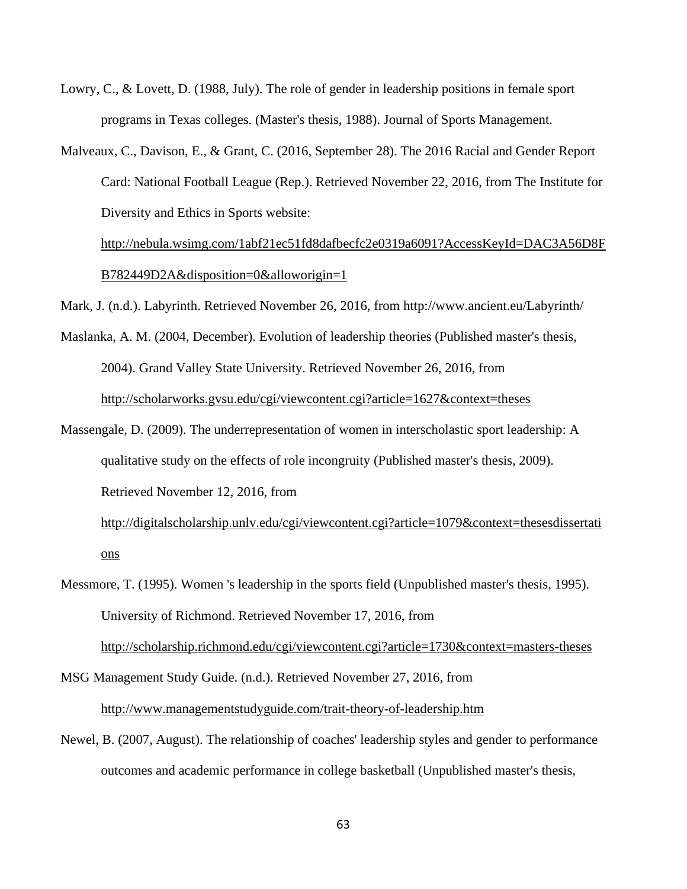- Lowry, C., & Lovett, D. (1988, July). The role of gender in leadership positions in female sport programs in Texas colleges. (Master's thesis, 1988). Journal of Sports Management.
- Malveaux, C., Davison, E., & Grant, C. (2016, September 28). The 2016 Racial and Gender Report Card: National Football League (Rep.). Retrieved November 22, 2016, from The Institute for Diversity and Ethics in Sports website:

[http://nebula.wsimg.com/1abf21ec51fd8dafbecfc2e0319a6091?AccessKeyId=DAC3A56D8F](http://nebula.wsimg.com/1abf21ec51fd8dafbecfc2e0319a6091?AccessKeyId=DAC3A56D8FB782449D2A&disposition=0&alloworigin=1) [B782449D2A&disposition=0&alloworigin=1](http://nebula.wsimg.com/1abf21ec51fd8dafbecfc2e0319a6091?AccessKeyId=DAC3A56D8FB782449D2A&disposition=0&alloworigin=1)

Mark, J. (n.d.). Labyrinth. Retrieved November 26, 2016, from http://www.ancient.eu/Labyrinth/

- Maslanka, A. M. (2004, December). Evolution of leadership theories (Published master's thesis, 2004). Grand Valley State University. Retrieved November 26, 2016, from <http://scholarworks.gvsu.edu/cgi/viewcontent.cgi?article=1627&context=theses>
- Massengale, D. (2009). The underrepresentation of women in interscholastic sport leadership: A qualitative study on the effects of role incongruity (Published master's thesis, 2009). Retrieved November 12, 2016, from

[http://digitalscholarship.unlv.edu/cgi/viewcontent.cgi?article=1079&context=thesesdissertati](http://digitalscholarship.unlv.edu/cgi/viewcontent.cgi?article=1079&context=thesesdissertations) [ons](http://digitalscholarship.unlv.edu/cgi/viewcontent.cgi?article=1079&context=thesesdissertations)

Messmore, T. (1995). Women 's leadership in the sports field (Unpublished master's thesis, 1995). University of Richmond. Retrieved November 17, 2016, from <http://scholarship.richmond.edu/cgi/viewcontent.cgi?article=1730&context=masters-theses>

MSG Management Study Guide. (n.d.). Retrieved November 27, 2016, from <http://www.managementstudyguide.com/trait-theory-of-leadership.htm>

Newel, B. (2007, August). The relationship of coaches' leadership styles and gender to performance outcomes and academic performance in college basketball (Unpublished master's thesis,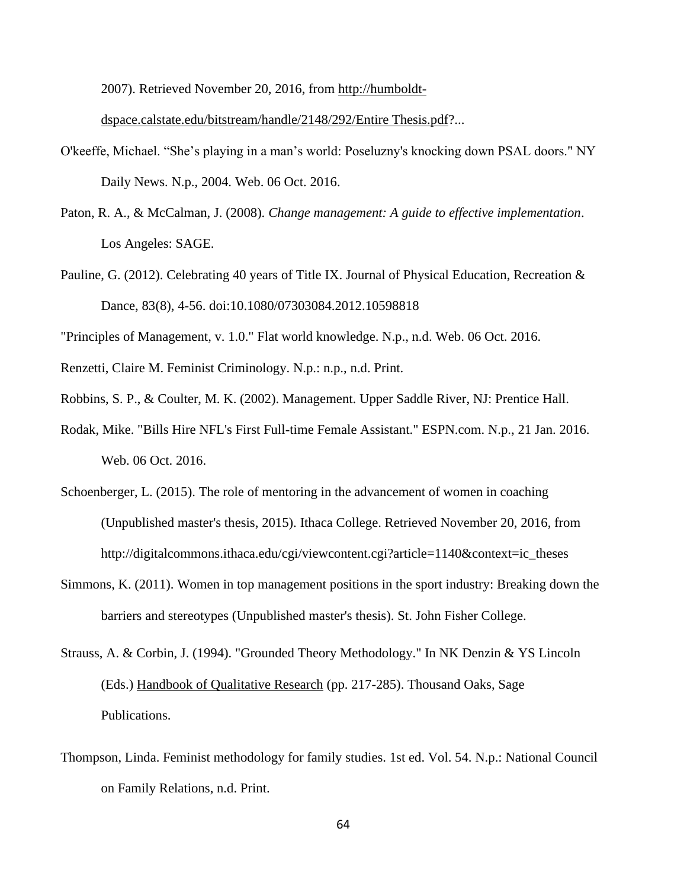2007). Retrieved November 20, 2016, from [http://humboldt-](http://humboldt-dspace.calstate.edu/bitstream/handle/2148/292/Entire%20Thesis.pdf)

[dspace.calstate.edu/bitstream/handle/2148/292/Entire Thesis.pdf?](http://humboldt-dspace.calstate.edu/bitstream/handle/2148/292/Entire%20Thesis.pdf)...

- O'keeffe, Michael. "She's playing in a man's world: Poseluzny's knocking down PSAL doors." NY Daily News. N.p., 2004. Web. 06 Oct. 2016.
- Paton, R. A., & McCalman, J. (2008). *Change management: A guide to effective implementation*. Los Angeles: SAGE.
- Pauline, G. (2012). Celebrating 40 years of Title IX. Journal of Physical Education, Recreation & Dance, 83(8), 4-56. doi:10.1080/07303084.2012.10598818

"Principles of Management, v. 1.0." Flat world knowledge. N.p., n.d. Web. 06 Oct. 2016.

- Renzetti, Claire M. Feminist Criminology. N.p.: n.p., n.d. Print.
- Robbins, S. P., & Coulter, M. K. (2002). Management. Upper Saddle River, NJ: Prentice Hall.
- Rodak, Mike. "Bills Hire NFL's First Full-time Female Assistant." ESPN.com. N.p., 21 Jan. 2016. Web. 06 Oct. 2016.
- Schoenberger, L. (2015). The role of mentoring in the advancement of women in coaching (Unpublished master's thesis, 2015). Ithaca College. Retrieved November 20, 2016, from http://digitalcommons.ithaca.edu/cgi/viewcontent.cgi?article=1140&context=ic\_theses
- Simmons, K. (2011). Women in top management positions in the sport industry: Breaking down the barriers and stereotypes (Unpublished master's thesis). St. John Fisher College.
- Strauss, A. & Corbin, J. (1994). "Grounded Theory Methodology." In NK Denzin & YS Lincoln (Eds.) Handbook of Qualitative Research (pp. 217-285). Thousand Oaks, Sage Publications.
- Thompson, Linda. Feminist methodology for family studies. 1st ed. Vol. 54. N.p.: National Council on Family Relations, n.d. Print.